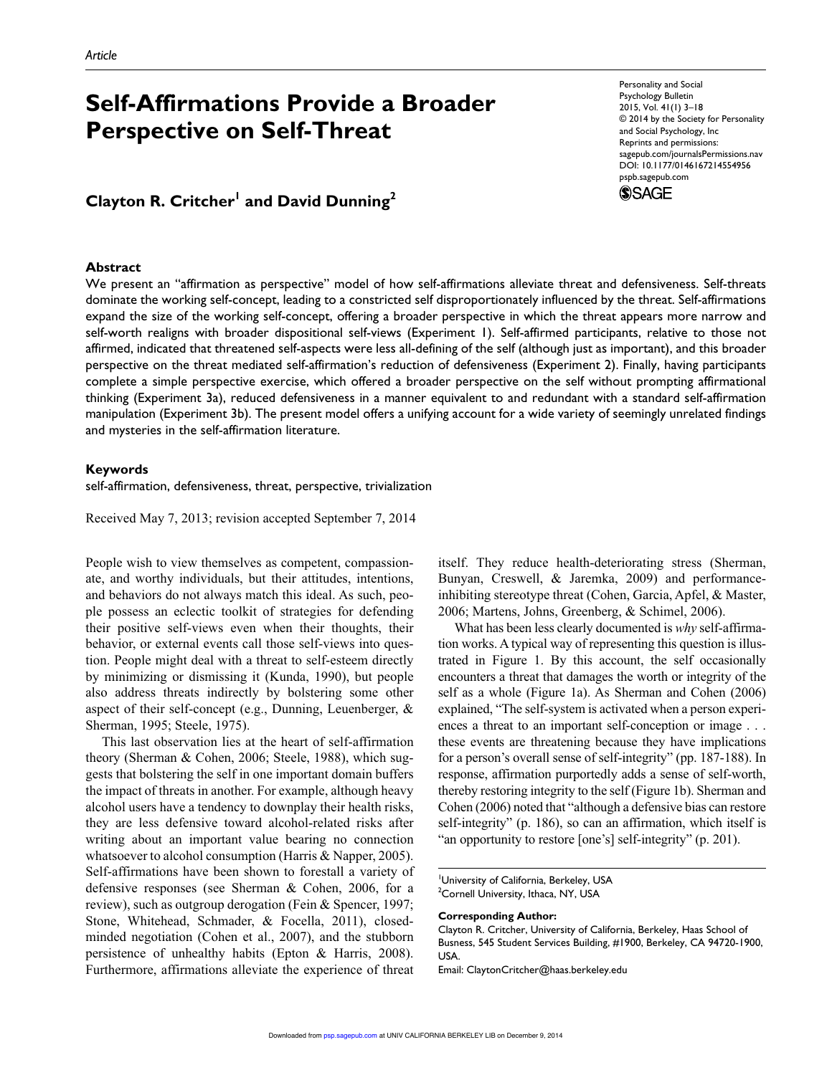# **Self-Affirmations Provide a Broader Perspective on Self-Threat**

## **Clayton R. Critcher<sup>1</sup> and David Dunning<sup>2</sup>**

## **Abstract**

Personality and Social Psychology Bulletin 2015, Vol. 41(1) 3–18 © 2014 by the Society for Personality and Social Psychology, Inc Reprints and permissions: sagepub.com/journalsPermissions.nav DOI: 10.1177/0146167214554956 pspb.sagepub.com



We present an "affirmation as perspective" model of how self-affirmations alleviate threat and defensiveness. Self-threats dominate the working self-concept, leading to a constricted self disproportionately influenced by the threat. Self-affirmations expand the size of the working self-concept, offering a broader perspective in which the threat appears more narrow and self-worth realigns with broader dispositional self-views (Experiment 1). Self-affirmed participants, relative to those not affirmed, indicated that threatened self-aspects were less all-defining of the self (although just as important), and this broader perspective on the threat mediated self-affirmation's reduction of defensiveness (Experiment 2). Finally, having participants complete a simple perspective exercise, which offered a broader perspective on the self without prompting affirmational thinking (Experiment 3a), reduced defensiveness in a manner equivalent to and redundant with a standard self-affirmation manipulation (Experiment 3b). The present model offers a unifying account for a wide variety of seemingly unrelated findings and mysteries in the self-affirmation literature.

#### **Keywords**

self-affirmation, defensiveness, threat, perspective, trivialization

Received May 7, 2013; revision accepted September 7, 2014

People wish to view themselves as competent, compassionate, and worthy individuals, but their attitudes, intentions, and behaviors do not always match this ideal. As such, people possess an eclectic toolkit of strategies for defending their positive self-views even when their thoughts, their behavior, or external events call those self-views into question. People might deal with a threat to self-esteem directly by minimizing or dismissing it (Kunda, 1990), but people also address threats indirectly by bolstering some other aspect of their self-concept (e.g., Dunning, Leuenberger, & Sherman, 1995; Steele, 1975).

This last observation lies at the heart of self-affirmation theory (Sherman & Cohen, 2006; Steele, 1988), which suggests that bolstering the self in one important domain buffers the impact of threats in another. For example, although heavy alcohol users have a tendency to downplay their health risks, they are less defensive toward alcohol-related risks after writing about an important value bearing no connection whatsoever to alcohol consumption (Harris & Napper, 2005). Self-affirmations have been shown to forestall a variety of defensive responses (see Sherman & Cohen, 2006, for a review), such as outgroup derogation (Fein & Spencer, 1997; Stone, Whitehead, Schmader, & Focella, 2011), closedminded negotiation (Cohen et al., 2007), and the stubborn persistence of unhealthy habits (Epton & Harris, 2008). Furthermore, affirmations alleviate the experience of threat

itself. They reduce health-deteriorating stress (Sherman, Bunyan, Creswell, & Jaremka, 2009) and performanceinhibiting stereotype threat (Cohen, Garcia, Apfel, & Master, 2006; Martens, Johns, Greenberg, & Schimel, 2006).

What has been less clearly documented is *why* self-affirmation works. A typical way of representing this question is illustrated in Figure 1. By this account, the self occasionally encounters a threat that damages the worth or integrity of the self as a whole (Figure 1a). As Sherman and Cohen (2006) explained, "The self-system is activated when a person experiences a threat to an important self-conception or image . . . these events are threatening because they have implications for a person's overall sense of self-integrity" (pp. 187-188). In response, affirmation purportedly adds a sense of self-worth, thereby restoring integrity to the self (Figure 1b). Sherman and Cohen (2006) noted that "although a defensive bias can restore self-integrity" (p. 186), so can an affirmation, which itself is "an opportunity to restore [one's] self-integrity" (p. 201).

#### **Corresponding Author:**

Email: ClaytonCritcher@haas.berkeley.edu

<sup>1</sup> University of California, Berkeley, USA

<sup>&</sup>lt;sup>2</sup>Cornell University, Ithaca, NY, USA

Clayton R. Critcher, University of California, Berkeley, Haas School of Busness, 545 Student Services Building, #1900, Berkeley, CA 94720-1900, USA.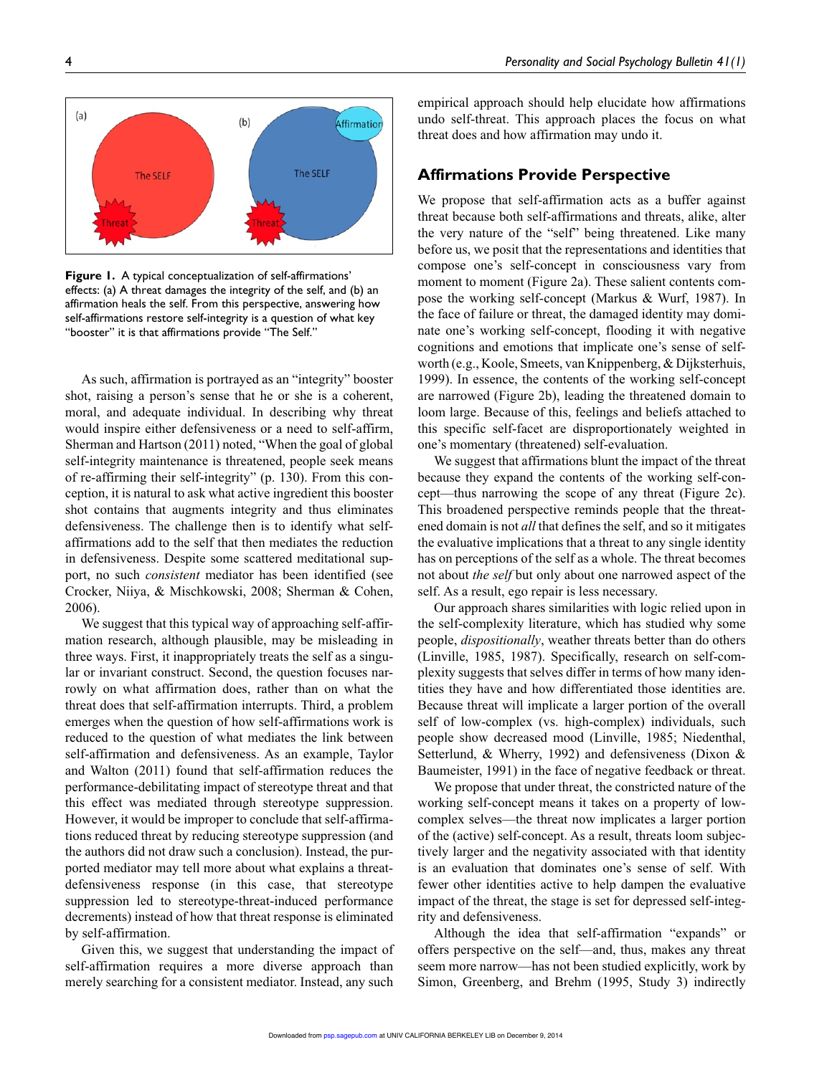$(a)$  $(b)$ Affirmation **The SELF** The SELF

**Figure 1.** A typical conceptualization of self-affirmations' effects: (a) A threat damages the integrity of the self, and (b) an affirmation heals the self. From this perspective, answering how self-affirmations restore self-integrity is a question of what key "booster" it is that affirmations provide "The Self."

As such, affirmation is portrayed as an "integrity" booster shot, raising a person's sense that he or she is a coherent, moral, and adequate individual. In describing why threat would inspire either defensiveness or a need to self-affirm, Sherman and Hartson (2011) noted, "When the goal of global self-integrity maintenance is threatened, people seek means of re-affirming their self-integrity" (p. 130). From this conception, it is natural to ask what active ingredient this booster shot contains that augments integrity and thus eliminates defensiveness. The challenge then is to identify what selfaffirmations add to the self that then mediates the reduction in defensiveness. Despite some scattered meditational support, no such *consistent* mediator has been identified (see Crocker, Niiya, & Mischkowski, 2008; Sherman & Cohen, 2006).

We suggest that this typical way of approaching self-affirmation research, although plausible, may be misleading in three ways. First, it inappropriately treats the self as a singular or invariant construct. Second, the question focuses narrowly on what affirmation does, rather than on what the threat does that self-affirmation interrupts. Third, a problem emerges when the question of how self-affirmations work is reduced to the question of what mediates the link between self-affirmation and defensiveness. As an example, Taylor and Walton (2011) found that self-affirmation reduces the performance-debilitating impact of stereotype threat and that this effect was mediated through stereotype suppression. However, it would be improper to conclude that self-affirmations reduced threat by reducing stereotype suppression (and the authors did not draw such a conclusion). Instead, the purported mediator may tell more about what explains a threatdefensiveness response (in this case, that stereotype suppression led to stereotype-threat-induced performance decrements) instead of how that threat response is eliminated by self-affirmation.

Given this, we suggest that understanding the impact of self-affirmation requires a more diverse approach than merely searching for a consistent mediator. Instead, any such

empirical approach should help elucidate how affirmations undo self-threat. This approach places the focus on what threat does and how affirmation may undo it.

## **Affirmations Provide Perspective**

We propose that self-affirmation acts as a buffer against threat because both self-affirmations and threats, alike, alter the very nature of the "self" being threatened. Like many before us, we posit that the representations and identities that compose one's self-concept in consciousness vary from moment to moment (Figure 2a). These salient contents compose the working self-concept (Markus & Wurf, 1987). In the face of failure or threat, the damaged identity may dominate one's working self-concept, flooding it with negative cognitions and emotions that implicate one's sense of selfworth (e.g., Koole, Smeets, van Knippenberg, & Dijksterhuis, 1999). In essence, the contents of the working self-concept are narrowed (Figure 2b), leading the threatened domain to loom large. Because of this, feelings and beliefs attached to this specific self-facet are disproportionately weighted in one's momentary (threatened) self-evaluation.

We suggest that affirmations blunt the impact of the threat because they expand the contents of the working self-concept—thus narrowing the scope of any threat (Figure 2c). This broadened perspective reminds people that the threatened domain is not *all* that defines the self, and so it mitigates the evaluative implications that a threat to any single identity has on perceptions of the self as a whole. The threat becomes not about *the self* but only about one narrowed aspect of the self. As a result, ego repair is less necessary.

Our approach shares similarities with logic relied upon in the self-complexity literature, which has studied why some people, *dispositionally*, weather threats better than do others (Linville, 1985, 1987). Specifically, research on self-complexity suggests that selves differ in terms of how many identities they have and how differentiated those identities are. Because threat will implicate a larger portion of the overall self of low-complex (vs. high-complex) individuals, such people show decreased mood (Linville, 1985; Niedenthal, Setterlund, & Wherry, 1992) and defensiveness (Dixon & Baumeister, 1991) in the face of negative feedback or threat.

We propose that under threat, the constricted nature of the working self-concept means it takes on a property of lowcomplex selves—the threat now implicates a larger portion of the (active) self-concept. As a result, threats loom subjectively larger and the negativity associated with that identity is an evaluation that dominates one's sense of self. With fewer other identities active to help dampen the evaluative impact of the threat, the stage is set for depressed self-integrity and defensiveness.

Although the idea that self-affirmation "expands" or offers perspective on the self—and, thus, makes any threat seem more narrow—has not been studied explicitly, work by Simon, Greenberg, and Brehm (1995, Study 3) indirectly

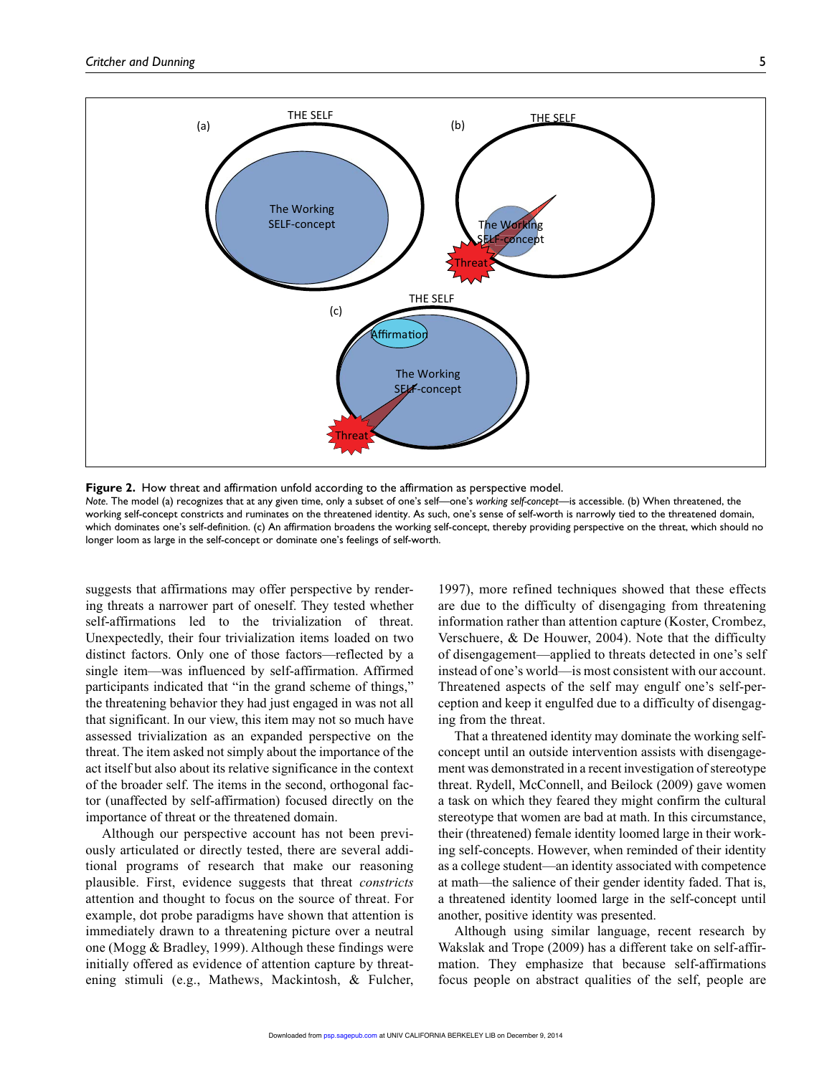

**Figure 2.** How threat and affirmation unfold according to the affirmation as perspective model.

*Note*. The model (a) recognizes that at any given time, only a subset of one's self—one's *working self-concept*—is accessible. (b) When threatened, the working self-concept constricts and ruminates on the threatened identity. As such, one's sense of self-worth is narrowly tied to the threatened domain, which dominates one's self-definition. (c) An affirmation broadens the working self-concept, thereby providing perspective on the threat, which should no longer loom as large in the self-concept or dominate one's feelings of self-worth.

suggests that affirmations may offer perspective by rendering threats a narrower part of oneself. They tested whether self-affirmations led to the trivialization of threat. Unexpectedly, their four trivialization items loaded on two distinct factors. Only one of those factors—reflected by a single item—was influenced by self-affirmation. Affirmed participants indicated that "in the grand scheme of things," the threatening behavior they had just engaged in was not all that significant. In our view, this item may not so much have assessed trivialization as an expanded perspective on the threat. The item asked not simply about the importance of the act itself but also about its relative significance in the context of the broader self. The items in the second, orthogonal factor (unaffected by self-affirmation) focused directly on the importance of threat or the threatened domain.

Although our perspective account has not been previously articulated or directly tested, there are several additional programs of research that make our reasoning plausible. First, evidence suggests that threat *constricts* attention and thought to focus on the source of threat. For example, dot probe paradigms have shown that attention is immediately drawn to a threatening picture over a neutral one (Mogg & Bradley, 1999). Although these findings were initially offered as evidence of attention capture by threatening stimuli (e.g., Mathews, Mackintosh, & Fulcher,

1997), more refined techniques showed that these effects are due to the difficulty of disengaging from threatening information rather than attention capture (Koster, Crombez, Verschuere, & De Houwer, 2004). Note that the difficulty of disengagement—applied to threats detected in one's self instead of one's world—is most consistent with our account. Threatened aspects of the self may engulf one's self-perception and keep it engulfed due to a difficulty of disengaging from the threat.

That a threatened identity may dominate the working selfconcept until an outside intervention assists with disengagement was demonstrated in a recent investigation of stereotype threat. Rydell, McConnell, and Beilock (2009) gave women a task on which they feared they might confirm the cultural stereotype that women are bad at math. In this circumstance, their (threatened) female identity loomed large in their working self-concepts. However, when reminded of their identity as a college student—an identity associated with competence at math—the salience of their gender identity faded. That is, a threatened identity loomed large in the self-concept until another, positive identity was presented.

Although using similar language, recent research by Wakslak and Trope (2009) has a different take on self-affirmation. They emphasize that because self-affirmations focus people on abstract qualities of the self, people are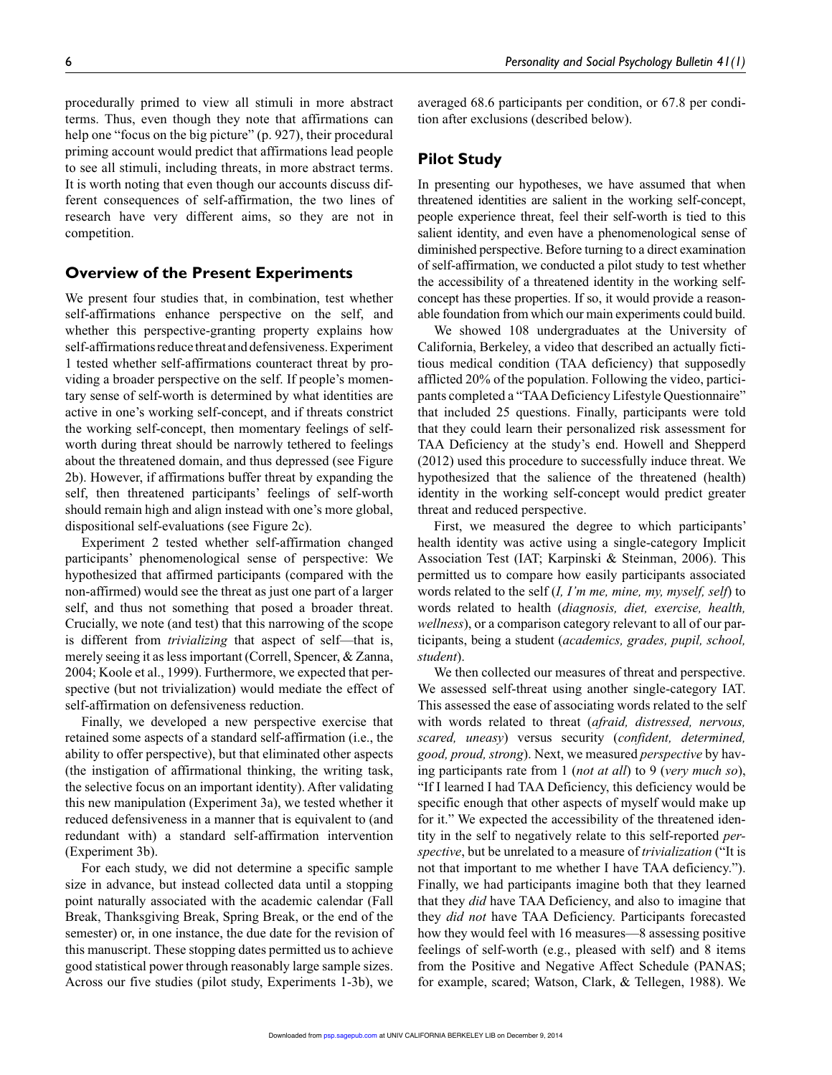procedurally primed to view all stimuli in more abstract terms. Thus, even though they note that affirmations can help one "focus on the big picture" (p. 927), their procedural priming account would predict that affirmations lead people to see all stimuli, including threats, in more abstract terms. It is worth noting that even though our accounts discuss different consequences of self-affirmation, the two lines of research have very different aims, so they are not in competition.

## **Overview of the Present Experiments**

We present four studies that, in combination, test whether self-affirmations enhance perspective on the self, and whether this perspective-granting property explains how self-affirmations reduce threat and defensiveness. Experiment 1 tested whether self-affirmations counteract threat by providing a broader perspective on the self. If people's momentary sense of self-worth is determined by what identities are active in one's working self-concept, and if threats constrict the working self-concept, then momentary feelings of selfworth during threat should be narrowly tethered to feelings about the threatened domain, and thus depressed (see Figure 2b). However, if affirmations buffer threat by expanding the self, then threatened participants' feelings of self-worth should remain high and align instead with one's more global, dispositional self-evaluations (see Figure 2c).

Experiment 2 tested whether self-affirmation changed participants' phenomenological sense of perspective: We hypothesized that affirmed participants (compared with the non-affirmed) would see the threat as just one part of a larger self, and thus not something that posed a broader threat. Crucially, we note (and test) that this narrowing of the scope is different from *trivializing* that aspect of self—that is, merely seeing it as less important (Correll, Spencer, & Zanna, 2004; Koole et al., 1999). Furthermore, we expected that perspective (but not trivialization) would mediate the effect of self-affirmation on defensiveness reduction.

Finally, we developed a new perspective exercise that retained some aspects of a standard self-affirmation (i.e., the ability to offer perspective), but that eliminated other aspects (the instigation of affirmational thinking, the writing task, the selective focus on an important identity). After validating this new manipulation (Experiment 3a), we tested whether it reduced defensiveness in a manner that is equivalent to (and redundant with) a standard self-affirmation intervention (Experiment 3b).

For each study, we did not determine a specific sample size in advance, but instead collected data until a stopping point naturally associated with the academic calendar (Fall Break, Thanksgiving Break, Spring Break, or the end of the semester) or, in one instance, the due date for the revision of this manuscript. These stopping dates permitted us to achieve good statistical power through reasonably large sample sizes. Across our five studies (pilot study, Experiments 1-3b), we

averaged 68.6 participants per condition, or 67.8 per condition after exclusions (described below).

## **Pilot Study**

In presenting our hypotheses, we have assumed that when threatened identities are salient in the working self-concept, people experience threat, feel their self-worth is tied to this salient identity, and even have a phenomenological sense of diminished perspective. Before turning to a direct examination of self-affirmation, we conducted a pilot study to test whether the accessibility of a threatened identity in the working selfconcept has these properties. If so, it would provide a reasonable foundation from which our main experiments could build.

We showed 108 undergraduates at the University of California, Berkeley, a video that described an actually fictitious medical condition (TAA deficiency) that supposedly afflicted 20% of the population. Following the video, participants completed a "TAA Deficiency Lifestyle Questionnaire" that included 25 questions. Finally, participants were told that they could learn their personalized risk assessment for TAA Deficiency at the study's end. Howell and Shepperd (2012) used this procedure to successfully induce threat. We hypothesized that the salience of the threatened (health) identity in the working self-concept would predict greater threat and reduced perspective.

First, we measured the degree to which participants' health identity was active using a single-category Implicit Association Test (IAT; Karpinski & Steinman, 2006). This permitted us to compare how easily participants associated words related to the self (*I, I'm me, mine, my, myself, self*) to words related to health (*diagnosis, diet, exercise, health, wellness*), or a comparison category relevant to all of our participants, being a student (*academics, grades, pupil, school, student*).

We then collected our measures of threat and perspective. We assessed self-threat using another single-category IAT. This assessed the ease of associating words related to the self with words related to threat (*afraid, distressed, nervous, scared, uneasy*) versus security (*confident, determined, good, proud, strong*). Next, we measured *perspective* by having participants rate from 1 (*not at all*) to 9 (*very much so*), "If I learned I had TAA Deficiency, this deficiency would be specific enough that other aspects of myself would make up for it." We expected the accessibility of the threatened identity in the self to negatively relate to this self-reported *perspective*, but be unrelated to a measure of *trivialization* ("It is not that important to me whether I have TAA deficiency."). Finally, we had participants imagine both that they learned that they *did* have TAA Deficiency, and also to imagine that they *did not* have TAA Deficiency. Participants forecasted how they would feel with 16 measures—8 assessing positive feelings of self-worth (e.g., pleased with self) and 8 items from the Positive and Negative Affect Schedule (PANAS; for example, scared; Watson, Clark, & Tellegen, 1988). We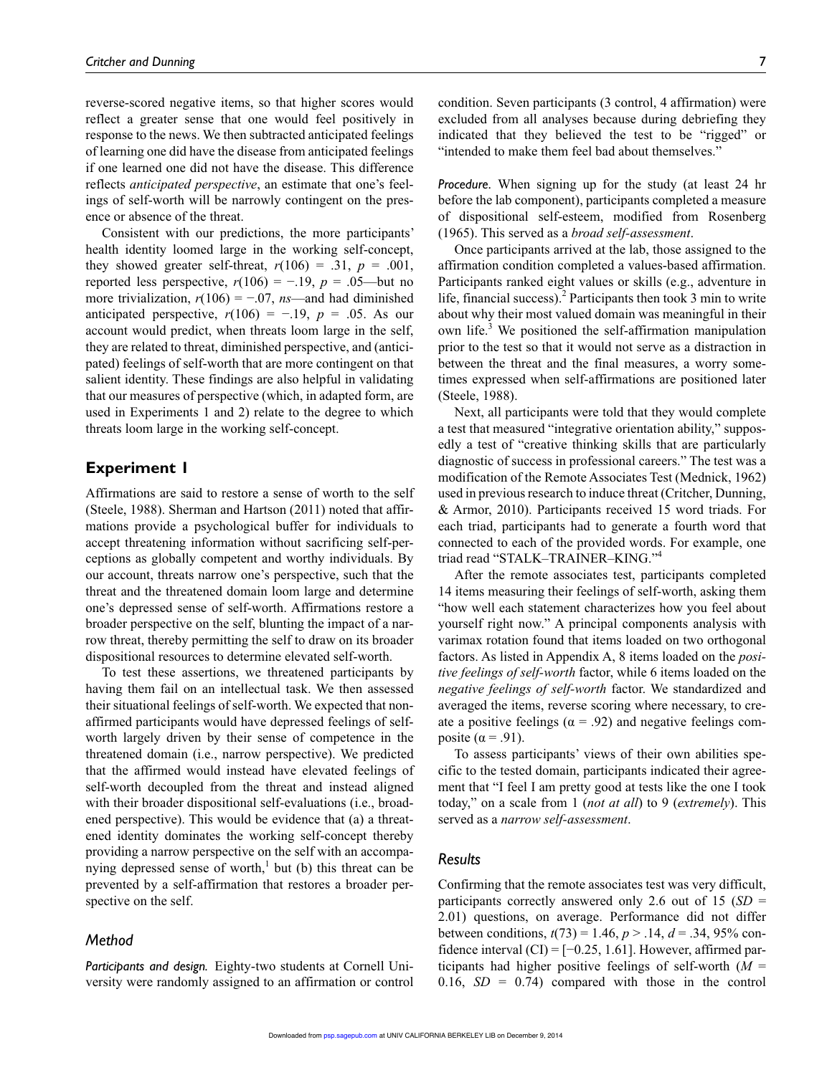reverse-scored negative items, so that higher scores would reflect a greater sense that one would feel positively in response to the news. We then subtracted anticipated feelings of learning one did have the disease from anticipated feelings if one learned one did not have the disease. This difference reflects *anticipated perspective*, an estimate that one's feelings of self-worth will be narrowly contingent on the presence or absence of the threat.

Consistent with our predictions, the more participants' health identity loomed large in the working self-concept, they showed greater self-threat,  $r(106) = .31$ ,  $p = .001$ , reported less perspective,  $r(106) = -.19$ ,  $p = .05$ —but no more trivialization,  $r(106) = -.07$ , *ns*—and had diminished anticipated perspective,  $r(106) = -.19$ ,  $p = .05$ . As our account would predict, when threats loom large in the self, they are related to threat, diminished perspective, and (anticipated) feelings of self-worth that are more contingent on that salient identity. These findings are also helpful in validating that our measures of perspective (which, in adapted form, are used in Experiments 1 and 2) relate to the degree to which threats loom large in the working self-concept.

## **Experiment 1**

Affirmations are said to restore a sense of worth to the self (Steele, 1988). Sherman and Hartson (2011) noted that affirmations provide a psychological buffer for individuals to accept threatening information without sacrificing self-perceptions as globally competent and worthy individuals. By our account, threats narrow one's perspective, such that the threat and the threatened domain loom large and determine one's depressed sense of self-worth. Affirmations restore a broader perspective on the self, blunting the impact of a narrow threat, thereby permitting the self to draw on its broader dispositional resources to determine elevated self-worth.

To test these assertions, we threatened participants by having them fail on an intellectual task. We then assessed their situational feelings of self-worth. We expected that nonaffirmed participants would have depressed feelings of selfworth largely driven by their sense of competence in the threatened domain (i.e., narrow perspective). We predicted that the affirmed would instead have elevated feelings of self-worth decoupled from the threat and instead aligned with their broader dispositional self-evaluations *(i.e., broad*ened perspective). This would be evidence that (a) a threatened identity dominates the working self-concept thereby providing a narrow perspective on the self with an accompanying depressed sense of worth, $1$  but (b) this threat can be prevented by a self-affirmation that restores a broader perspective on the self.

## *Method*

*Participants and design.* Eighty-two students at Cornell University were randomly assigned to an affirmation or control condition. Seven participants (3 control, 4 affirmation) were excluded from all analyses because during debriefing they indicated that they believed the test to be "rigged" or "intended to make them feel bad about themselves."

*Procedure.* When signing up for the study (at least 24 hr before the lab component), participants completed a measure of dispositional self-esteem, modified from Rosenberg (1965). This served as a *broad self-assessment*.

Once participants arrived at the lab, those assigned to the affirmation condition completed a values-based affirmation. Participants ranked eight values or skills (e.g., adventure in life, financial success). $^2$  Participants then took 3 min to write about why their most valued domain was meaningful in their own life.<sup>3</sup> We positioned the self-affirmation manipulation prior to the test so that it would not serve as a distraction in between the threat and the final measures, a worry sometimes expressed when self-affirmations are positioned later (Steele, 1988).

Next, all participants were told that they would complete a test that measured "integrative orientation ability," supposedly a test of "creative thinking skills that are particularly diagnostic of success in professional careers." The test was a modification of the Remote Associates Test (Mednick, 1962) used in previous research to induce threat (Critcher, Dunning, & Armor, 2010). Participants received 15 word triads. For each triad, participants had to generate a fourth word that connected to each of the provided words. For example, one triad read "STALK–TRAINER–KING."4

After the remote associates test, participants completed 14 items measuring their feelings of self-worth, asking them "how well each statement characterizes how you feel about yourself right now." A principal components analysis with varimax rotation found that items loaded on two orthogonal factors. As listed in Appendix A, 8 items loaded on the *positive feelings of self-worth* factor, while 6 items loaded on the *negative feelings of self-worth* factor. We standardized and averaged the items, reverse scoring where necessary, to create a positive feelings ( $\alpha$  = .92) and negative feelings composite ( $\alpha$  = .91).

To assess participants' views of their own abilities specific to the tested domain, participants indicated their agreement that "I feel I am pretty good at tests like the one I took today," on a scale from 1 (*not at all*) to 9 (*extremely*). This served as a *narrow self-assessment*.

#### *Results*

Confirming that the remote associates test was very difficult, participants correctly answered only 2.6 out of 15 (*SD* = 2.01) questions, on average. Performance did not differ between conditions,  $t(73) = 1.46$ ,  $p > .14$ ,  $d = .34$ , 95% confidence interval  $(CI) = [-0.25, 1.61]$ . However, affirmed participants had higher positive feelings of self-worth (*M* = 0.16,  $SD = 0.74$  compared with those in the control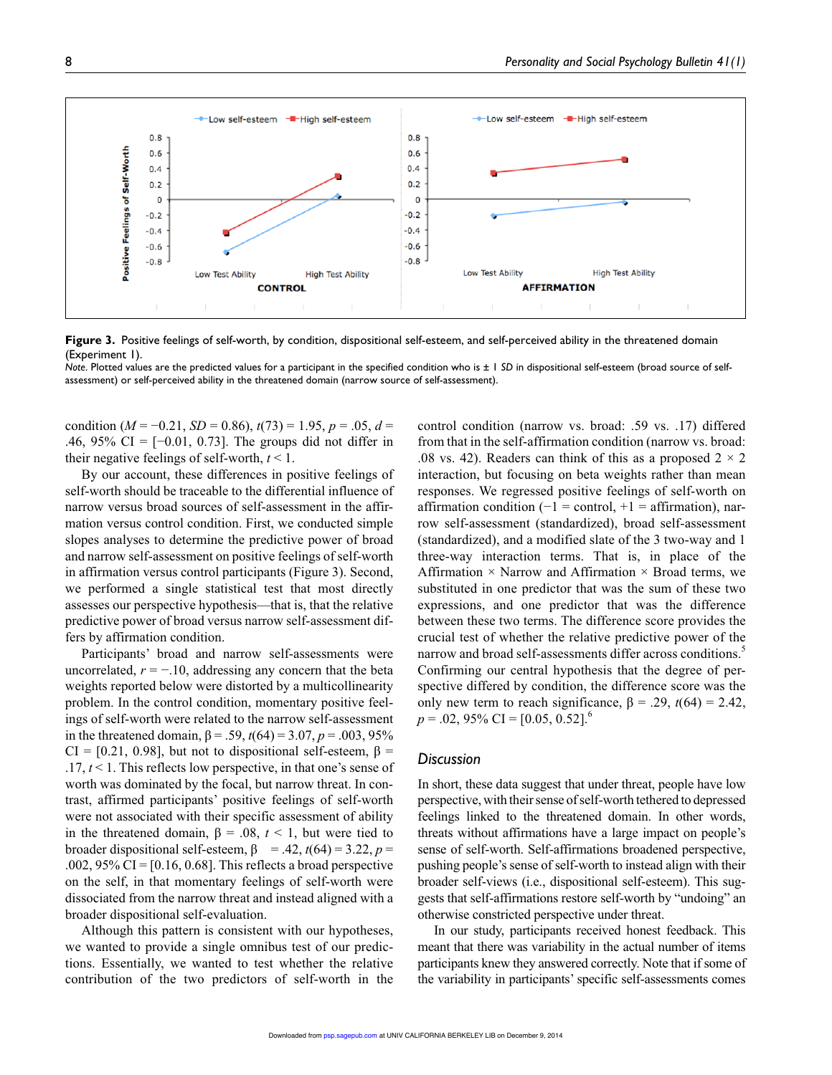

Figure 3. Positive feelings of self-worth, by condition, dispositional self-esteem, and self-perceived ability in the threatened domain (Experiment 1).

*Note*. Plotted values are the predicted values for a participant in the specified condition who is ± 1 *SD* in dispositional self-esteem (broad source of selfassessment) or self-perceived ability in the threatened domain (narrow source of self-assessment).

condition ( $M = -0.21$ ,  $SD = 0.86$ ),  $t(73) = 1.95$ ,  $p = .05$ ,  $d =$ .46, 95% CI = [−0.01, 0.73]. The groups did not differ in their negative feelings of self-worth, *t* < 1.

By our account, these differences in positive feelings of self-worth should be traceable to the differential influence of narrow versus broad sources of self-assessment in the affirmation versus control condition. First, we conducted simple slopes analyses to determine the predictive power of broad and narrow self-assessment on positive feelings of self-worth in affirmation versus control participants (Figure 3). Second, we performed a single statistical test that most directly assesses our perspective hypothesis—that is, that the relative predictive power of broad versus narrow self-assessment differs by affirmation condition.

Participants' broad and narrow self-assessments were uncorrelated,  $r = -10$ , addressing any concern that the beta weights reported below were distorted by a multicollinearity problem. In the control condition, momentary positive feelings of self-worth were related to the narrow self-assessment in the threatened domain,  $β = .59$ ,  $t(64) = 3.07$ ,  $p = .003$ , 95% CI = [0.21, 0.98], but not to dispositional self-esteem,  $\beta$  = .17, *t* < 1. This reflects low perspective, in that one's sense of worth was dominated by the focal, but narrow threat. In contrast, affirmed participants' positive feelings of self-worth were not associated with their specific assessment of ability in the threatened domain,  $β = .08, t < 1$ , but were tied to broader dispositional self-esteem, β = .42, *t*(64) = 3.22, *p* = .002, 95% CI =  $[0.16, 0.68]$ . This reflects a broad perspective on the self, in that momentary feelings of self-worth were dissociated from the narrow threat and instead aligned with a broader dispositional self-evaluation.

Although this pattern is consistent with our hypotheses, we wanted to provide a single omnibus test of our predictions. Essentially, we wanted to test whether the relative contribution of the two predictors of self-worth in the

control condition (narrow vs. broad: .59 vs. .17) differed from that in the self-affirmation condition (narrow vs. broad: .08 vs. 42). Readers can think of this as a proposed  $2 \times 2$ interaction, but focusing on beta weights rather than mean responses. We regressed positive feelings of self-worth on affirmation condition ( $-1$  = control,  $+1$  = affirmation), narrow self-assessment (standardized), broad self-assessment (standardized), and a modified slate of the 3 two-way and 1 three-way interaction terms. That is, in place of the Affirmation  $\times$  Narrow and Affirmation  $\times$  Broad terms, we substituted in one predictor that was the sum of these two expressions, and one predictor that was the difference between these two terms. The difference score provides the crucial test of whether the relative predictive power of the narrow and broad self-assessments differ across conditions.<sup>5</sup> Confirming our central hypothesis that the degree of perspective differed by condition, the difference score was the only new term to reach significance,  $\beta$  = .29,  $t(64)$  = 2.42,  $p = .02,95\% \text{ CI} = [0.05, 0.52].$ <sup>6</sup>

## *Discussion*

In short, these data suggest that under threat, people have low perspective, with their sense of self-worth tethered to depressed feelings linked to the threatened domain. In other words, threats without affirmations have a large impact on people's sense of self-worth. Self-affirmations broadened perspective, pushing people's sense of self-worth to instead align with their broader self-views (i.e., dispositional self-esteem). This suggests that self-affirmations restore self-worth by "undoing" an otherwise constricted perspective under threat.

In our study, participants received honest feedback. This meant that there was variability in the actual number of items participants knew they answered correctly. Note that if some of the variability in participants' specific self-assessments comes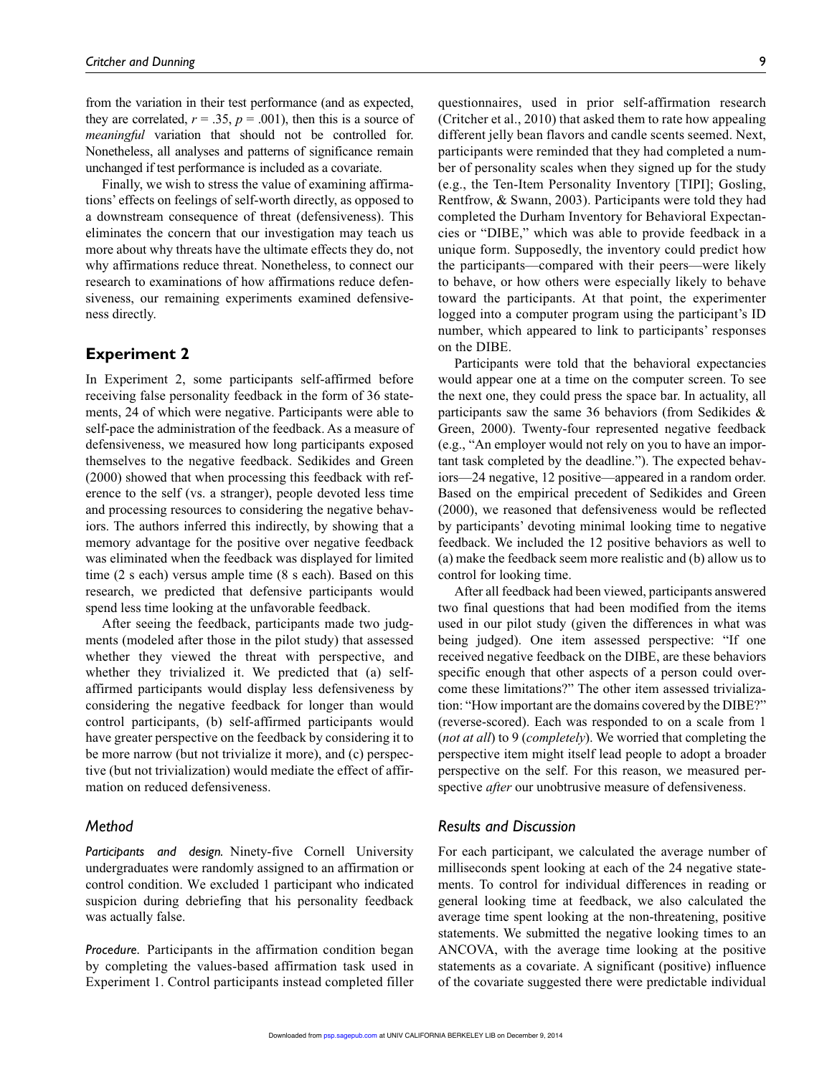from the variation in their test performance (and as expected, they are correlated,  $r = .35$ ,  $p = .001$ ), then this is a source of *meaningful* variation that should not be controlled for. Nonetheless, all analyses and patterns of significance remain unchanged if test performance is included as a covariate.

Finally, we wish to stress the value of examining affirmations' effects on feelings of self-worth directly, as opposed to a downstream consequence of threat (defensiveness). This eliminates the concern that our investigation may teach us more about why threats have the ultimate effects they do, not why affirmations reduce threat. Nonetheless, to connect our research to examinations of how affirmations reduce defensiveness, our remaining experiments examined defensiveness directly.

## **Experiment 2**

In Experiment 2, some participants self-affirmed before receiving false personality feedback in the form of 36 statements, 24 of which were negative. Participants were able to self-pace the administration of the feedback. As a measure of defensiveness, we measured how long participants exposed themselves to the negative feedback. Sedikides and Green (2000) showed that when processing this feedback with reference to the self (vs. a stranger), people devoted less time and processing resources to considering the negative behaviors. The authors inferred this indirectly, by showing that a memory advantage for the positive over negative feedback was eliminated when the feedback was displayed for limited time (2 s each) versus ample time (8 s each). Based on this research, we predicted that defensive participants would spend less time looking at the unfavorable feedback.

After seeing the feedback, participants made two judgments (modeled after those in the pilot study) that assessed whether they viewed the threat with perspective, and whether they trivialized it. We predicted that (a) selfaffirmed participants would display less defensiveness by considering the negative feedback for longer than would control participants, (b) self-affirmed participants would have greater perspective on the feedback by considering it to be more narrow (but not trivialize it more), and (c) perspective (but not trivialization) would mediate the effect of affirmation on reduced defensiveness.

#### *Method*

*Participants and design.* Ninety-five Cornell University undergraduates were randomly assigned to an affirmation or control condition. We excluded 1 participant who indicated suspicion during debriefing that his personality feedback was actually false.

*Procedure.* Participants in the affirmation condition began by completing the values-based affirmation task used in Experiment 1. Control participants instead completed filler questionnaires, used in prior self-affirmation research (Critcher et al., 2010) that asked them to rate how appealing different jelly bean flavors and candle scents seemed. Next, participants were reminded that they had completed a number of personality scales when they signed up for the study (e.g., the Ten-Item Personality Inventory [TIPI]; Gosling, Rentfrow, & Swann, 2003). Participants were told they had completed the Durham Inventory for Behavioral Expectancies or "DIBE," which was able to provide feedback in a unique form. Supposedly, the inventory could predict how the participants—compared with their peers—were likely to behave, or how others were especially likely to behave toward the participants. At that point, the experimenter logged into a computer program using the participant's ID number, which appeared to link to participants' responses on the DIBE.

Participants were told that the behavioral expectancies would appear one at a time on the computer screen. To see the next one, they could press the space bar. In actuality, all participants saw the same 36 behaviors (from Sedikides & Green, 2000). Twenty-four represented negative feedback (e.g., "An employer would not rely on you to have an important task completed by the deadline."). The expected behaviors—24 negative, 12 positive—appeared in a random order. Based on the empirical precedent of Sedikides and Green (2000), we reasoned that defensiveness would be reflected by participants' devoting minimal looking time to negative feedback. We included the 12 positive behaviors as well to (a) make the feedback seem more realistic and (b) allow us to control for looking time.

After all feedback had been viewed, participants answered two final questions that had been modified from the items used in our pilot study (given the differences in what was being judged). One item assessed perspective: "If one received negative feedback on the DIBE, are these behaviors specific enough that other aspects of a person could overcome these limitations?" The other item assessed trivialization: "How important are the domains covered by the DIBE?" (reverse-scored). Each was responded to on a scale from 1 (*not at all*) to 9 (*completely*). We worried that completing the perspective item might itself lead people to adopt a broader perspective on the self. For this reason, we measured perspective *after* our unobtrusive measure of defensiveness.

## *Results and Discussion*

For each participant, we calculated the average number of milliseconds spent looking at each of the 24 negative statements. To control for individual differences in reading or general looking time at feedback, we also calculated the average time spent looking at the non-threatening, positive statements. We submitted the negative looking times to an ANCOVA, with the average time looking at the positive statements as a covariate. A significant (positive) influence of the covariate suggested there were predictable individual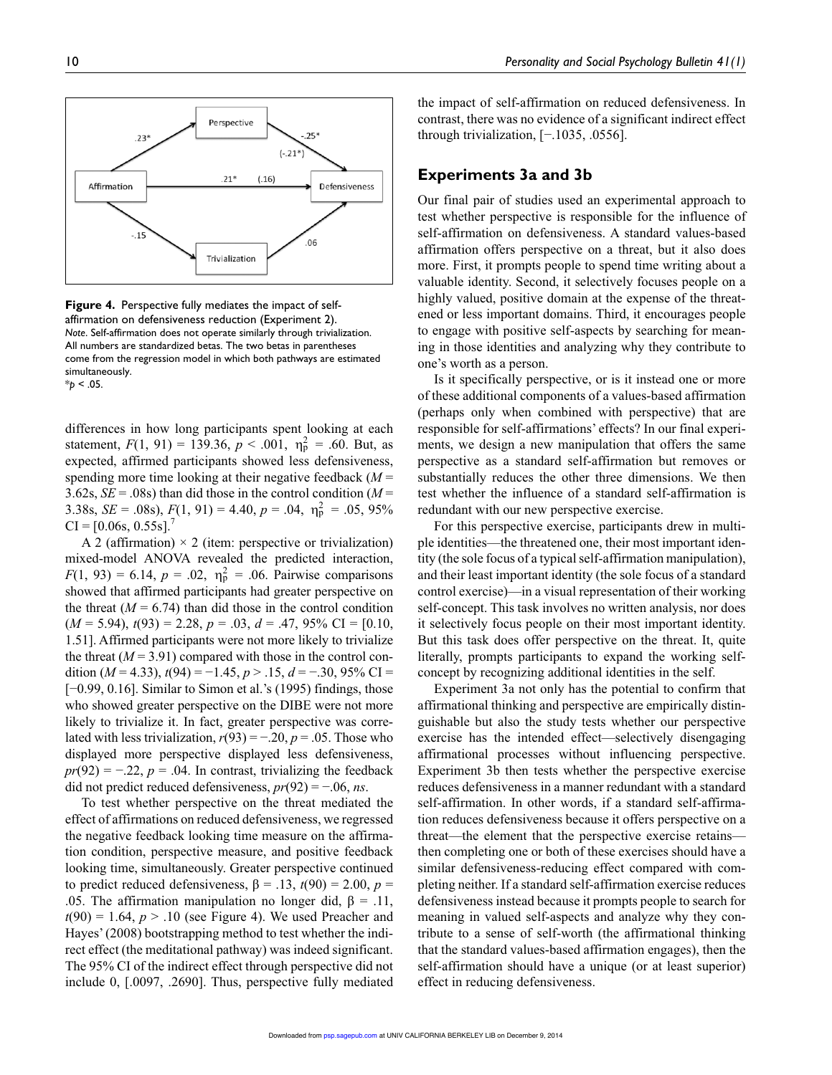the impact of self-affirmation on reduced defensiveness. In contrast, there was no evidence of a significant indirect effect through trivialization, [−.1035, .0556].

## **Experiments 3a and 3b**

Our final pair of studies used an experimental approach to test whether perspective is responsible for the influence of self-affirmation on defensiveness. A standard values-based affirmation offers perspective on a threat, but it also does more. First, it prompts people to spend time writing about a valuable identity. Second, it selectively focuses people on a highly valued, positive domain at the expense of the threatened or less important domains. Third, it encourages people to engage with positive self-aspects by searching for meaning in those identities and analyzing why they contribute to one's worth as a person.

Is it specifically perspective, or is it instead one or more of these additional components of a values-based affirmation (perhaps only when combined with perspective) that are responsible for self-affirmations' effects? In our final experiments, we design a new manipulation that offers the same perspective as a standard self-affirmation but removes or substantially reduces the other three dimensions. We then test whether the influence of a standard self-affirmation is redundant with our new perspective exercise.

For this perspective exercise, participants drew in multiple identities—the threatened one, their most important identity (the sole focus of a typical self-affirmation manipulation), and their least important identity (the sole focus of a standard control exercise)—in a visual representation of their working self-concept. This task involves no written analysis, nor does it selectively focus people on their most important identity. But this task does offer perspective on the threat. It, quite literally, prompts participants to expand the working selfconcept by recognizing additional identities in the self.

Experiment 3a not only has the potential to confirm that affirmational thinking and perspective are empirically distinguishable but also the study tests whether our perspective exercise has the intended effect—selectively disengaging affirmational processes without influencing perspective. Experiment 3b then tests whether the perspective exercise reduces defensiveness in a manner redundant with a standard self-affirmation. In other words, if a standard self-affirmation reduces defensiveness because it offers perspective on a threat—the element that the perspective exercise retains then completing one or both of these exercises should have a similar defensiveness-reducing effect compared with completing neither. If a standard self-affirmation exercise reduces defensiveness instead because it prompts people to search for meaning in valued self-aspects and analyze why they contribute to a sense of self-worth (the affirmational thinking that the standard values-based affirmation engages), then the self-affirmation should have a unique (or at least superior) effect in reducing defensiveness.



Perspective

 $.21*$ 

Trivialization

 $25*$ 

.06

Defensiveness

 $(-.21*$ 

 $(.16)$ 

 $*_{p}$  < .05.

differences in how long participants spent looking at each statement,  $F(1, 91) = 139.36$ ,  $p < .001$ ,  $\eta_p^2 = .60$ . But, as expected, affirmed participants showed less defensiveness, spending more time looking at their negative feedback (*M* = 3.62s,  $SE = .08s$ ) than did those in the control condition ( $M =$ 3.38s, *SE* = .08s),  $F(1, 91) = 4.40$ ,  $p = .04$ ,  $\eta_p^2 = .05$ , 95%  $CI = [0.06s, 0.55s]$ .

A 2 (affirmation)  $\times$  2 (item: perspective or trivialization) mixed-model ANOVA revealed the predicted interaction,  $F(1, 93) = 6.14$ ,  $p = .02$ ,  $\eta_p^2 = .06$ . Pairwise comparisons showed that affirmed participants had greater perspective on the threat  $(M = 6.74)$  than did those in the control condition (*M* = 5.94), *t*(93) = 2.28, *p* = .03, *d* = .47, 95% CI = [0.10, 1.51]. Affirmed participants were not more likely to trivialize the threat  $(M = 3.91)$  compared with those in the control condition ( $M = 4.33$ ),  $t(94) = -1.45$ ,  $p > .15$ ,  $d = -.30$ , 95% CI = [−0.99, 0.16]. Similar to Simon et al.'s (1995) findings, those who showed greater perspective on the DIBE were not more likely to trivialize it. In fact, greater perspective was correlated with less trivialization,  $r(93) = -.20$ ,  $p = .05$ . Those who displayed more perspective displayed less defensiveness,  $pr(92) = -.22$ ,  $p = .04$ . In contrast, trivializing the feedback did not predict reduced defensiveness, *pr*(92) = −.06, *ns*.

To test whether perspective on the threat mediated the effect of affirmations on reduced defensiveness, we regressed the negative feedback looking time measure on the affirmation condition, perspective measure, and positive feedback looking time, simultaneously. Greater perspective continued to predict reduced defensiveness,  $β = .13$ ,  $t(90) = 2.00$ ,  $p =$ .05. The affirmation manipulation no longer did, β = .11,  $t(90) = 1.64$ ,  $p > .10$  (see Figure 4). We used Preacher and Hayes' (2008) bootstrapping method to test whether the indirect effect (the meditational pathway) was indeed significant. The 95% CI of the indirect effect through perspective did not include 0, [.0097, .2690]. Thus, perspective fully mediated

 $.23'$ 

 $-.15$ 

Affirmation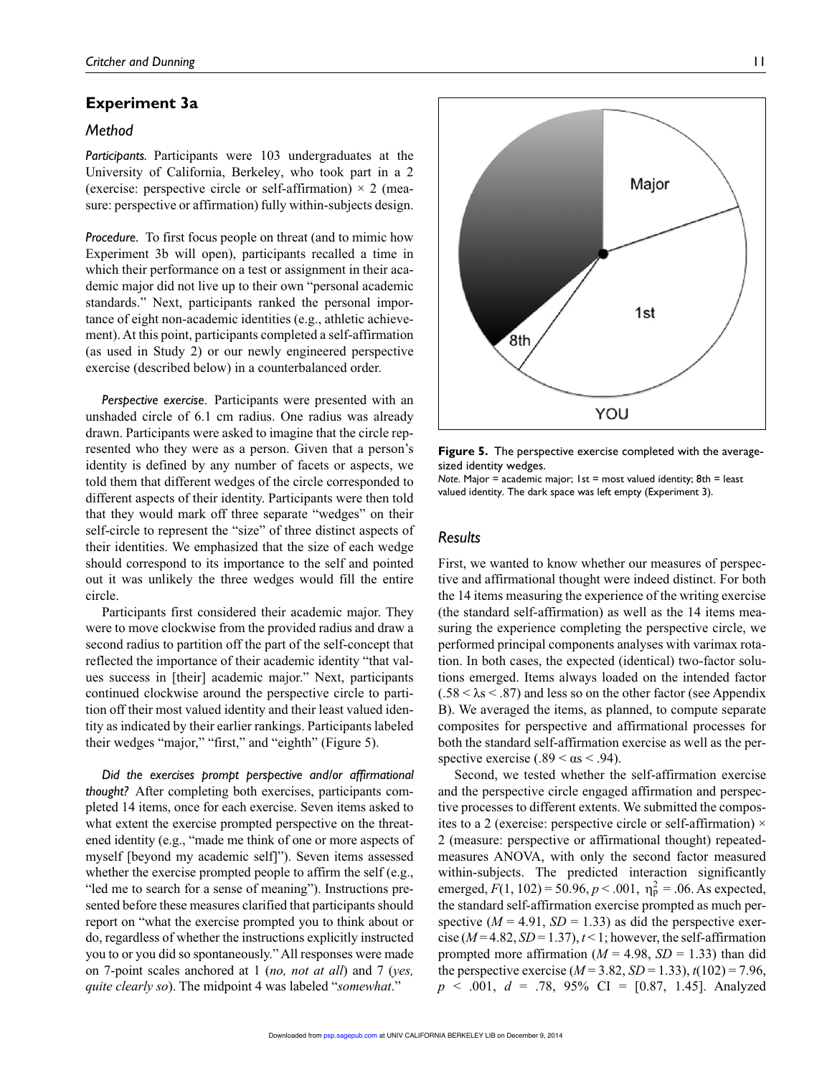## **Experiment 3a**

#### *Method*

*Participants.* Participants were 103 undergraduates at the University of California, Berkeley, who took part in a 2 (exercise: perspective circle or self-affirmation)  $\times$  2 (measure: perspective or affirmation) fully within-subjects design.

*Procedure.* To first focus people on threat (and to mimic how Experiment 3b will open), participants recalled a time in which their performance on a test or assignment in their academic major did not live up to their own "personal academic standards." Next, participants ranked the personal importance of eight non-academic identities (e.g., athletic achievement). At this point, participants completed a self-affirmation (as used in Study 2) or our newly engineered perspective exercise (described below) in a counterbalanced order.

*Perspective exercise*. Participants were presented with an unshaded circle of 6.1 cm radius. One radius was already drawn. Participants were asked to imagine that the circle represented who they were as a person. Given that a person's identity is defined by any number of facets or aspects, we told them that different wedges of the circle corresponded to different aspects of their identity. Participants were then told that they would mark off three separate "wedges" on their self-circle to represent the "size" of three distinct aspects of their identities. We emphasized that the size of each wedge should correspond to its importance to the self and pointed out it was unlikely the three wedges would fill the entire circle.

Participants first considered their academic major. They were to move clockwise from the provided radius and draw a second radius to partition off the part of the self-concept that reflected the importance of their academic identity "that values success in [their] academic major." Next, participants continued clockwise around the perspective circle to partition off their most valued identity and their least valued identity as indicated by their earlier rankings. Participants labeled their wedges "major," "first," and "eighth" (Figure 5).

*Did the exercises prompt perspective and/or affirmational thought?* After completing both exercises, participants completed 14 items, once for each exercise. Seven items asked to what extent the exercise prompted perspective on the threatened identity (e.g., "made me think of one or more aspects of myself [beyond my academic self]"). Seven items assessed whether the exercise prompted people to affirm the self (e.g., "led me to search for a sense of meaning"). Instructions presented before these measures clarified that participants should report on "what the exercise prompted you to think about or do, regardless of whether the instructions explicitly instructed you to or you did so spontaneously." All responses were made on 7-point scales anchored at 1 (*no, not at all*) and 7 (*yes, quite clearly so*). The midpoint 4 was labeled "*somewhat*."



**Figure 5.** The perspective exercise completed with the averagesized identity wedges.

*Note*. Major = academic major; 1st = most valued identity; 8th = least valued identity. The dark space was left empty (Experiment 3).

### *Results*

First, we wanted to know whether our measures of perspective and affirmational thought were indeed distinct. For both the 14 items measuring the experience of the writing exercise (the standard self-affirmation) as well as the 14 items measuring the experience completing the perspective circle, we performed principal components analyses with varimax rotation. In both cases, the expected (identical) two-factor solutions emerged. Items always loaded on the intended factor  $(.58 < \lambda s < .87)$  and less so on the other factor (see Appendix B). We averaged the items, as planned, to compute separate composites for perspective and affirmational processes for both the standard self-affirmation exercise as well as the perspective exercise (.89  $< \alpha$ s  $< .94$ ).

Second, we tested whether the self-affirmation exercise and the perspective circle engaged affirmation and perspective processes to different extents. We submitted the composites to a 2 (exercise: perspective circle or self-affirmation)  $\times$ 2 (measure: perspective or affirmational thought) repeatedmeasures ANOVA, with only the second factor measured within-subjects. The predicted interaction significantly emerged,  $F(1, 102) = 50.96, p < .001, \eta_p^2 = .06$ . As expected, the standard self-affirmation exercise prompted as much perspective  $(M = 4.91, SD = 1.33)$  as did the perspective exercise ( $M = 4.82$ ,  $SD = 1.37$ ),  $t < 1$ ; however, the self-affirmation prompted more affirmation ( $M = 4.98$ ,  $SD = 1.33$ ) than did the perspective exercise ( $M = 3.82$ ,  $SD = 1.33$ ),  $t(102) = 7.96$ , *p* < .001, *d* = .78, 95% CI = [0.87, 1.45]. Analyzed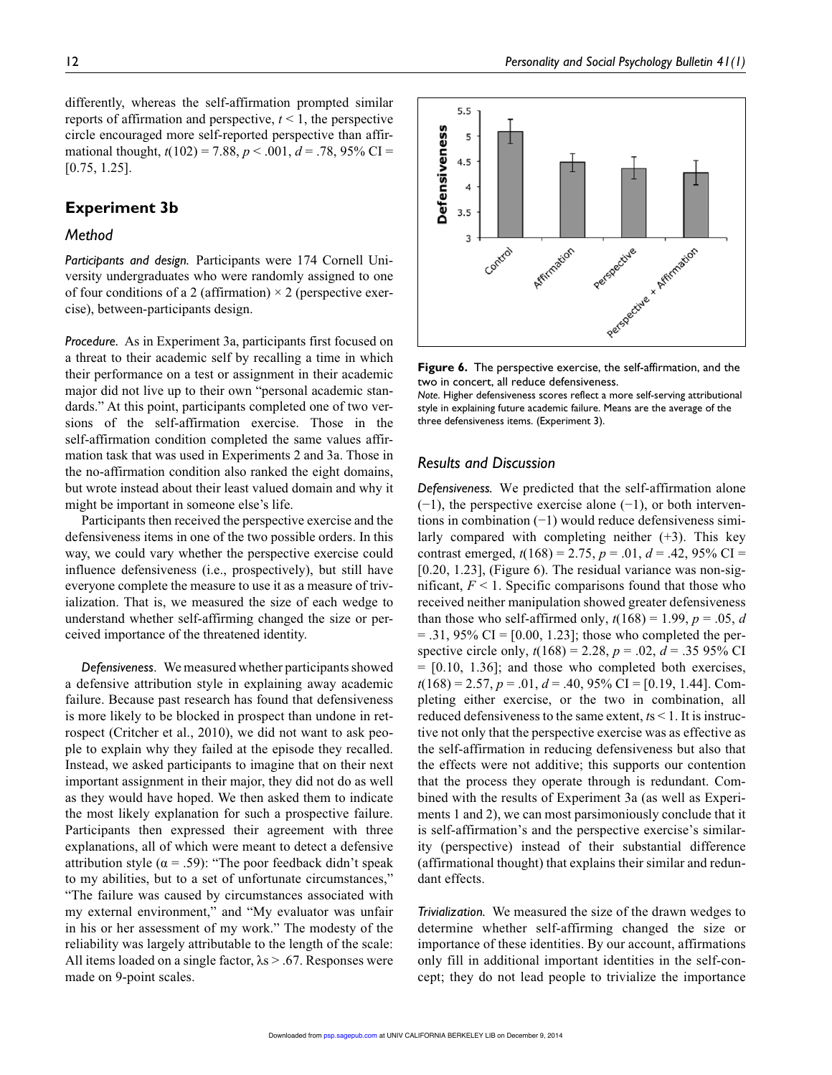differently, whereas the self-affirmation prompted similar reports of affirmation and perspective,  $t < 1$ , the perspective circle encouraged more self-reported perspective than affirmational thought,  $t(102) = 7.88$ ,  $p < .001$ ,  $d = .78$ , 95% CI = [0.75, 1.25].

## **Experiment 3b**

## *Method*

*Participants and design.* Participants were 174 Cornell University undergraduates who were randomly assigned to one of four conditions of a 2 (affirmation)  $\times$  2 (perspective exercise), between-participants design.

*Procedure.* As in Experiment 3a, participants first focused on a threat to their academic self by recalling a time in which their performance on a test or assignment in their academic major did not live up to their own "personal academic standards." At this point, participants completed one of two versions of the self-affirmation exercise. Those in the self-affirmation condition completed the same values affirmation task that was used in Experiments 2 and 3a. Those in the no-affirmation condition also ranked the eight domains, but wrote instead about their least valued domain and why it might be important in someone else's life.

Participants then received the perspective exercise and the defensiveness items in one of the two possible orders. In this way, we could vary whether the perspective exercise could influence defensiveness (i.e., prospectively), but still have everyone complete the measure to use it as a measure of trivialization. That is, we measured the size of each wedge to understand whether self-affirming changed the size or perceived importance of the threatened identity.

*Defensiveness*. We measured whether participants showed a defensive attribution style in explaining away academic failure. Because past research has found that defensiveness is more likely to be blocked in prospect than undone in retrospect (Critcher et al., 2010), we did not want to ask people to explain why they failed at the episode they recalled. Instead, we asked participants to imagine that on their next important assignment in their major, they did not do as well as they would have hoped. We then asked them to indicate the most likely explanation for such a prospective failure. Participants then expressed their agreement with three explanations, all of which were meant to detect a defensive attribution style ( $\alpha$  = .59): "The poor feedback didn't speak to my abilities, but to a set of unfortunate circumstances," "The failure was caused by circumstances associated with my external environment," and "My evaluator was unfair in his or her assessment of my work." The modesty of the reliability was largely attributable to the length of the scale: All items loaded on a single factor,  $\lambda$ s > .67. Responses were made on 9-point scales.



**Figure 6.** The perspective exercise, the self-affirmation, and the two in concert, all reduce defensiveness.

*Note*. Higher defensiveness scores reflect a more self-serving attributional style in explaining future academic failure. Means are the average of the three defensiveness items. (Experiment 3).

### *Results and Discussion*

*Defensiveness.* We predicted that the self-affirmation alone  $(-1)$ , the perspective exercise alone  $(-1)$ , or both interventions in combination (−1) would reduce defensiveness similarly compared with completing neither (+3). This key contrast emerged,  $t(168) = 2.75$ ,  $p = .01$ ,  $d = .42$ , 95% CI = [0.20, 1.23], (Figure 6). The residual variance was non-significant,  $F \leq 1$ . Specific comparisons found that those who received neither manipulation showed greater defensiveness than those who self-affirmed only,  $t(168) = 1.99$ ,  $p = .05$ , *d*  $= .31, 95\% \text{ CI} = [0.00, 1.23]$ ; those who completed the perspective circle only,  $t(168) = 2.28$ ,  $p = .02$ ,  $d = .3595\%$  CI  $=$  [0.10, 1.36]; and those who completed both exercises, *t*(168) = 2.57, *p* = .01, *d* = .40, 95% CI = [0.19, 1.44]. Completing either exercise, or the two in combination, all reduced defensiveness to the same extent, *t*s < 1. It is instructive not only that the perspective exercise was as effective as the self-affirmation in reducing defensiveness but also that the effects were not additive; this supports our contention that the process they operate through is redundant. Combined with the results of Experiment 3a (as well as Experiments 1 and 2), we can most parsimoniously conclude that it is self-affirmation's and the perspective exercise's similarity (perspective) instead of their substantial difference (affirmational thought) that explains their similar and redundant effects.

*Trivialization.* We measured the size of the drawn wedges to determine whether self-affirming changed the size or importance of these identities. By our account, affirmations only fill in additional important identities in the self-concept; they do not lead people to trivialize the importance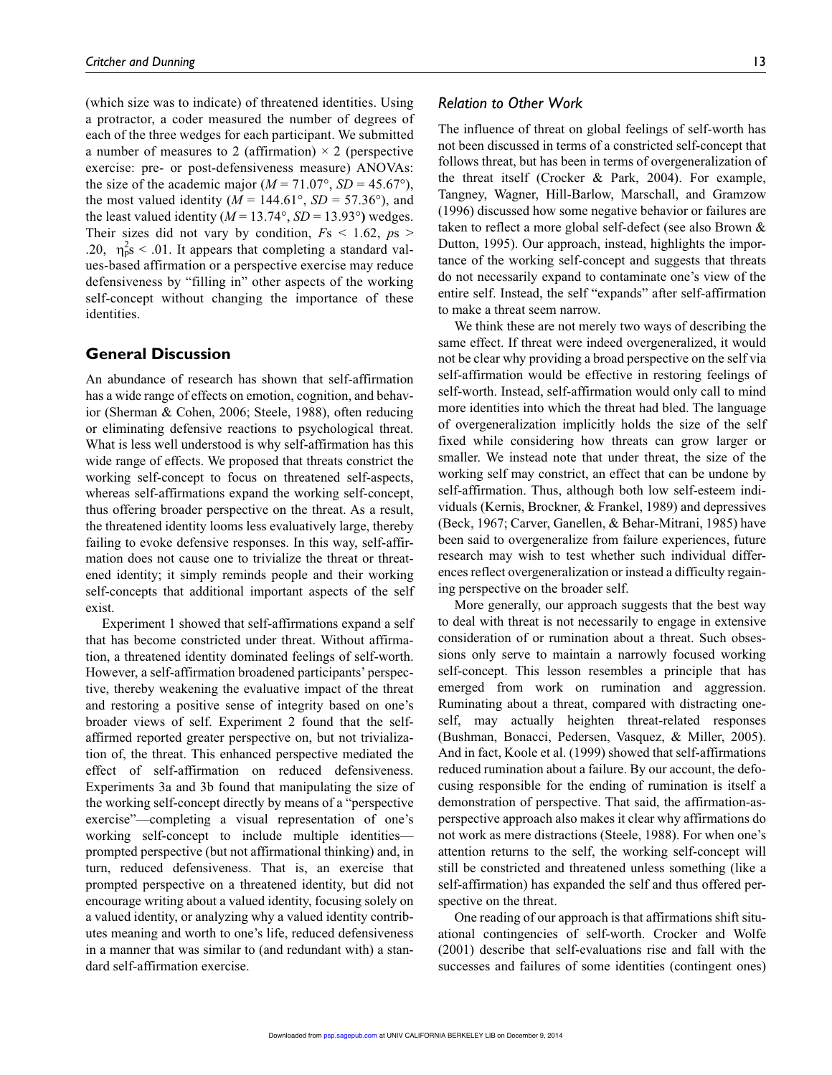(which size was to indicate) of threatened identities. Using a protractor, a coder measured the number of degrees of each of the three wedges for each participant. We submitted a number of measures to 2 (affirmation)  $\times$  2 (perspective exercise: pre- or post-defensiveness measure) ANOVAs: the size of the academic major ( $M = 71.07$ °,  $SD = 45.67$ °), the most valued identity ( $M = 144.61^{\circ}$ ,  $SD = 57.36^{\circ}$ ), and the least valued identity ( $M = 13.74^{\circ}$ ,  $SD = 13.93^{\circ}$ ) wedges. Their sizes did not vary by condition, *F*s < 1.62, *p*s > .20,  $\eta_{\rm p}^2$ s < .01. It appears that completing a standard values-based affirmation or a perspective exercise may reduce defensiveness by "filling in" other aspects of the working self-concept without changing the importance of these identities.

## **General Discussion**

An abundance of research has shown that self-affirmation has a wide range of effects on emotion, cognition, and behavior (Sherman & Cohen, 2006; Steele, 1988), often reducing or eliminating defensive reactions to psychological threat. What is less well understood is why self-affirmation has this wide range of effects. We proposed that threats constrict the working self-concept to focus on threatened self-aspects, whereas self-affirmations expand the working self-concept, thus offering broader perspective on the threat. As a result, the threatened identity looms less evaluatively large, thereby failing to evoke defensive responses. In this way, self-affirmation does not cause one to trivialize the threat or threatened identity; it simply reminds people and their working self-concepts that additional important aspects of the self exist.

Experiment 1 showed that self-affirmations expand a self that has become constricted under threat. Without affirmation, a threatened identity dominated feelings of self-worth. However, a self-affirmation broadened participants' perspective, thereby weakening the evaluative impact of the threat and restoring a positive sense of integrity based on one's broader views of self. Experiment 2 found that the selfaffirmed reported greater perspective on, but not trivialization of, the threat. This enhanced perspective mediated the effect of self-affirmation on reduced defensiveness. Experiments 3a and 3b found that manipulating the size of the working self-concept directly by means of a "perspective exercise"—completing a visual representation of one's working self-concept to include multiple identities prompted perspective (but not affirmational thinking) and, in turn, reduced defensiveness. That is, an exercise that prompted perspective on a threatened identity, but did not encourage writing about a valued identity, focusing solely on a valued identity, or analyzing why a valued identity contributes meaning and worth to one's life, reduced defensiveness in a manner that was similar to (and redundant with) a standard self-affirmation exercise.

## *Relation to Other Work*

The influence of threat on global feelings of self-worth has not been discussed in terms of a constricted self-concept that follows threat, but has been in terms of overgeneralization of the threat itself (Crocker & Park, 2004). For example, Tangney, Wagner, Hill-Barlow, Marschall, and Gramzow (1996) discussed how some negative behavior or failures are taken to reflect a more global self-defect (see also Brown & Dutton, 1995). Our approach, instead, highlights the importance of the working self-concept and suggests that threats do not necessarily expand to contaminate one's view of the entire self. Instead, the self "expands" after self-affirmation to make a threat seem narrow.

We think these are not merely two ways of describing the same effect. If threat were indeed overgeneralized, it would not be clear why providing a broad perspective on the self via self-affirmation would be effective in restoring feelings of self-worth. Instead, self-affirmation would only call to mind more identities into which the threat had bled. The language of overgeneralization implicitly holds the size of the self fixed while considering how threats can grow larger or smaller. We instead note that under threat, the size of the working self may constrict, an effect that can be undone by self-affirmation. Thus, although both low self-esteem individuals (Kernis, Brockner, & Frankel, 1989) and depressives (Beck, 1967; Carver, Ganellen, & Behar-Mitrani, 1985) have been said to overgeneralize from failure experiences, future research may wish to test whether such individual differences reflect overgeneralization or instead a difficulty regaining perspective on the broader self.

More generally, our approach suggests that the best way to deal with threat is not necessarily to engage in extensive consideration of or rumination about a threat. Such obsessions only serve to maintain a narrowly focused working self-concept. This lesson resembles a principle that has emerged from work on rumination and aggression. Ruminating about a threat, compared with distracting oneself, may actually heighten threat-related responses (Bushman, Bonacci, Pedersen, Vasquez, & Miller, 2005). And in fact, Koole et al. (1999) showed that self-affirmations reduced rumination about a failure. By our account, the defocusing responsible for the ending of rumination is itself a demonstration of perspective. That said, the affirmation-asperspective approach also makes it clear why affirmations do not work as mere distractions (Steele, 1988). For when one's attention returns to the self, the working self-concept will still be constricted and threatened unless something (like a self-affirmation) has expanded the self and thus offered perspective on the threat.

One reading of our approach is that affirmations shift situational contingencies of self-worth. Crocker and Wolfe (2001) describe that self-evaluations rise and fall with the successes and failures of some identities (contingent ones)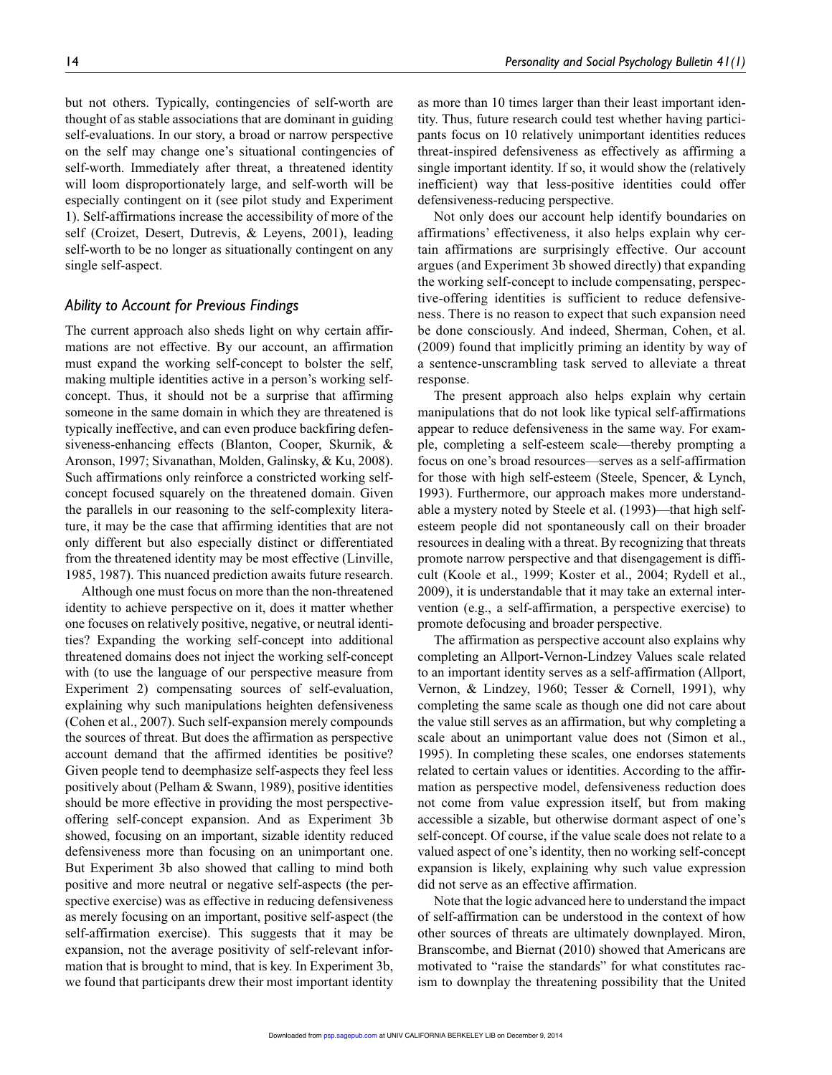but not others. Typically, contingencies of self-worth are thought of as stable associations that are dominant in guiding self-evaluations. In our story, a broad or narrow perspective on the self may change one's situational contingencies of self-worth. Immediately after threat, a threatened identity will loom disproportionately large, and self-worth will be especially contingent on it (see pilot study and Experiment 1). Self-affirmations increase the accessibility of more of the self (Croizet, Desert, Dutrevis, & Leyens, 2001), leading self-worth to be no longer as situationally contingent on any single self-aspect.

## *Ability to Account for Previous Findings*

The current approach also sheds light on why certain affirmations are not effective. By our account, an affirmation must expand the working self-concept to bolster the self, making multiple identities active in a person's working selfconcept. Thus, it should not be a surprise that affirming someone in the same domain in which they are threatened is typically ineffective, and can even produce backfiring defensiveness-enhancing effects (Blanton, Cooper, Skurnik, & Aronson, 1997; Sivanathan, Molden, Galinsky, & Ku, 2008). Such affirmations only reinforce a constricted working selfconcept focused squarely on the threatened domain. Given the parallels in our reasoning to the self-complexity literature, it may be the case that affirming identities that are not only different but also especially distinct or differentiated from the threatened identity may be most effective (Linville, 1985, 1987). This nuanced prediction awaits future research.

Although one must focus on more than the non-threatened identity to achieve perspective on it, does it matter whether one focuses on relatively positive, negative, or neutral identities? Expanding the working self-concept into additional threatened domains does not inject the working self-concept with (to use the language of our perspective measure from Experiment 2) compensating sources of self-evaluation, explaining why such manipulations heighten defensiveness (Cohen et al., 2007). Such self-expansion merely compounds the sources of threat. But does the affirmation as perspective account demand that the affirmed identities be positive? Given people tend to deemphasize self-aspects they feel less positively about (Pelham & Swann, 1989), positive identities should be more effective in providing the most perspectiveoffering self-concept expansion. And as Experiment 3b showed, focusing on an important, sizable identity reduced defensiveness more than focusing on an unimportant one. But Experiment 3b also showed that calling to mind both positive and more neutral or negative self-aspects (the perspective exercise) was as effective in reducing defensiveness as merely focusing on an important, positive self-aspect (the self-affirmation exercise). This suggests that it may be expansion, not the average positivity of self-relevant information that is brought to mind, that is key. In Experiment 3b, we found that participants drew their most important identity

as more than 10 times larger than their least important identity. Thus, future research could test whether having participants focus on 10 relatively unimportant identities reduces threat-inspired defensiveness as effectively as affirming a single important identity. If so, it would show the (relatively inefficient) way that less-positive identities could offer defensiveness-reducing perspective.

Not only does our account help identify boundaries on affirmations' effectiveness, it also helps explain why certain affirmations are surprisingly effective. Our account argues (and Experiment 3b showed directly) that expanding the working self-concept to include compensating, perspective-offering identities is sufficient to reduce defensiveness. There is no reason to expect that such expansion need be done consciously. And indeed, Sherman, Cohen, et al. (2009) found that implicitly priming an identity by way of a sentence-unscrambling task served to alleviate a threat response.

The present approach also helps explain why certain manipulations that do not look like typical self-affirmations appear to reduce defensiveness in the same way. For example, completing a self-esteem scale—thereby prompting a focus on one's broad resources—serves as a self-affirmation for those with high self-esteem (Steele, Spencer, & Lynch, 1993). Furthermore, our approach makes more understandable a mystery noted by Steele et al. (1993)—that high selfesteem people did not spontaneously call on their broader resources in dealing with a threat. By recognizing that threats promote narrow perspective and that disengagement is difficult (Koole et al., 1999; Koster et al., 2004; Rydell et al., 2009), it is understandable that it may take an external intervention (e.g., a self-affirmation, a perspective exercise) to promote defocusing and broader perspective.

The affirmation as perspective account also explains why completing an Allport-Vernon-Lindzey Values scale related to an important identity serves as a self-affirmation (Allport, Vernon, & Lindzey, 1960; Tesser & Cornell, 1991), why completing the same scale as though one did not care about the value still serves as an affirmation, but why completing a scale about an unimportant value does not (Simon et al., 1995). In completing these scales, one endorses statements related to certain values or identities. According to the affirmation as perspective model, defensiveness reduction does not come from value expression itself, but from making accessible a sizable, but otherwise dormant aspect of one's self-concept. Of course, if the value scale does not relate to a valued aspect of one's identity, then no working self-concept expansion is likely, explaining why such value expression did not serve as an effective affirmation.

Note that the logic advanced here to understand the impact of self-affirmation can be understood in the context of how other sources of threats are ultimately downplayed. Miron, Branscombe, and Biernat (2010) showed that Americans are motivated to "raise the standards" for what constitutes racism to downplay the threatening possibility that the United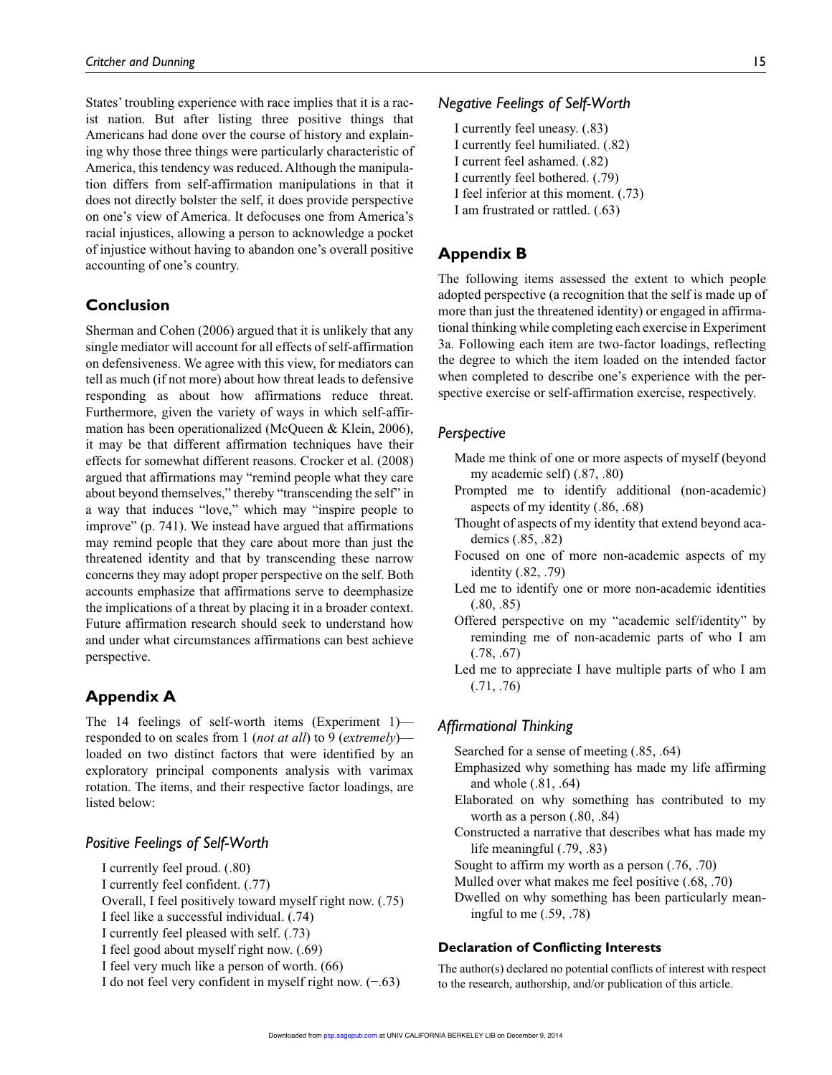States' troubling experience with race implies that it is a racist nation. But after listing three positive things that Americans had done over the course of history and explaining why those three things were particularly characteristic of America, this tendency was reduced. Although the manipulation differs from self-affirmation manipulations in that it does not directly bolster the self, it does provide perspective on one's view of America. It defocuses one from America's racial injustices, allowing a person to acknowledge a pocket of injustice without having to abandon one's overall positive accounting of one's country.

## **Conclusion**

Sherman and Cohen (2006) argued that it is unlikely that any single mediator will account for all effects of self-affirmation on defensiveness. We agree with this view, for mediators can tell as much (if not more) about how threat leads to defensive responding as about how affirmations reduce threat. Furthermore, given the variety of ways in which self-affirmation has been operationalized (McQueen & Klein, 2006), it may be that different affirmation techniques have their effects for somewhat different reasons. Crocker et al. (2008) argued that affirmations may "remind people what they care about beyond themselves," thereby "transcending the self" in a way that induces "love," which may "inspire people to improve" (p. 741). We instead have argued that affirmations may remind people that they care about more than just the threatened identity and that by transcending these narrow concerns they may adopt proper perspective on the self. Both accounts emphasize that affirmations serve to deemphasize the implications of a threat by placing it in a broader context. Future affirmation research should seek to understand how and under what circumstances affirmations can best achieve perspective.

## **Appendix A**

The 14 feelings of self-worth items (Experiment 1) responded to on scales from 1 (*not at all*) to 9 (*extremely*) loaded on two distinct factors that were identified by an exploratory principal components analysis with varimax rotation. The items, and their respective factor loadings, are listed below:

## *Positive Feelings of Self-Worth*

- I currently feel proud. (.80)
- I currently feel confident. (.77)
- Overall, I feel positively toward myself right now. (.75)
- I feel like a successful individual. (.74)
- I currently feel pleased with self. (.73)
- I feel good about myself right now. (.69)
- I feel very much like a person of worth. (66)
- I do not feel very confident in myself right now. (−.63)
- I currently feel uneasy. (.83) I currently feel humiliated. (.82) I current feel ashamed. (.82) I currently feel bothered. (.79) I feel inferior at this moment. (.73)
- I am frustrated or rattled. (.63)

## **Appendix B**

The following items assessed the extent to which people adopted perspective (a recognition that the self is made up of more than just the threatened identity) or engaged in affirmational thinking while completing each exercise in Experiment 3a. Following each item are two-factor loadings, reflecting the degree to which the item loaded on the intended factor when completed to describe one's experience with the perspective exercise or self-affirmation exercise, respectively.

## *Perspective*

- Made me think of one or more aspects of myself (beyond my academic self) (.87, .80)
- Prompted me to identify additional (non-academic) aspects of my identity (.86, .68)
- Thought of aspects of my identity that extend beyond academics (.85, .82)
- Focused on one of more non-academic aspects of my identity (.82, .79)
- Led me to identify one or more non-academic identities  $(.80, .85)$
- Offered perspective on my "academic self/identity" by reminding me of non-academic parts of who I am  $(.78, .67)$
- Led me to appreciate I have multiple parts of who I am (.71, .76)

## *Affirmational Thinking*

Searched for a sense of meeting (.85, .64)

- Emphasized why something has made my life affirming and whole (.81, .64)
- Elaborated on why something has contributed to my worth as a person (.80, .84)
- Constructed a narrative that describes what has made my life meaningful (.79, .83)
- Sought to affirm my worth as a person (.76, .70)
- Mulled over what makes me feel positive (.68, .70)
- Dwelled on why something has been particularly meaningful to me (.59, .78)

#### **Declaration of Conflicting Interests**

The author(s) declared no potential conflicts of interest with respect to the research, authorship, and/or publication of this article.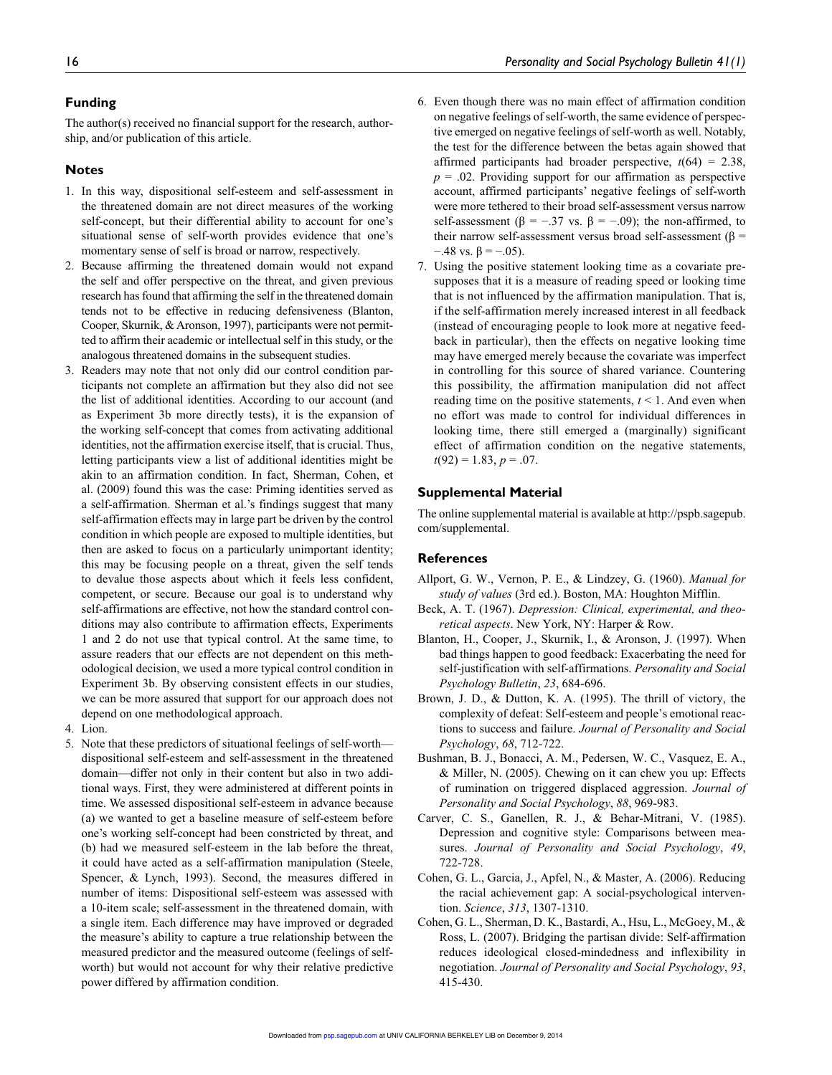#### **Funding**

The author(s) received no financial support for the research, authorship, and/or publication of this article.

#### **Notes**

- 1. In this way, dispositional self-esteem and self-assessment in the threatened domain are not direct measures of the working self-concept, but their differential ability to account for one's situational sense of self-worth provides evidence that one's momentary sense of self is broad or narrow, respectively.
- 2. Because affirming the threatened domain would not expand the self and offer perspective on the threat, and given previous research has found that affirming the self in the threatened domain tends not to be effective in reducing defensiveness (Blanton, Cooper, Skurnik, & Aronson, 1997), participants were not permitted to affirm their academic or intellectual self in this study, or the analogous threatened domains in the subsequent studies.
- 3. Readers may note that not only did our control condition participants not complete an affirmation but they also did not see the list of additional identities. According to our account (and as Experiment 3b more directly tests), it is the expansion of the working self-concept that comes from activating additional identities, not the affirmation exercise itself, that is crucial. Thus, letting participants view a list of additional identities might be akin to an affirmation condition. In fact, Sherman, Cohen, et al. (2009) found this was the case: Priming identities served as a self-affirmation. Sherman et al.'s findings suggest that many self-affirmation effects may in large part be driven by the control condition in which people are exposed to multiple identities, but then are asked to focus on a particularly unimportant identity; this may be focusing people on a threat, given the self tends to devalue those aspects about which it feels less confident, competent, or secure. Because our goal is to understand why self-affirmations are effective, not how the standard control conditions may also contribute to affirmation effects, Experiments 1 and 2 do not use that typical control. At the same time, to assure readers that our effects are not dependent on this methodological decision, we used a more typical control condition in Experiment 3b. By observing consistent effects in our studies, we can be more assured that support for our approach does not depend on one methodological approach.
- 4. Lion.
- 5. Note that these predictors of situational feelings of self-worth dispositional self-esteem and self-assessment in the threatened domain—differ not only in their content but also in two additional ways. First, they were administered at different points in time. We assessed dispositional self-esteem in advance because (a) we wanted to get a baseline measure of self-esteem before one's working self-concept had been constricted by threat, and (b) had we measured self-esteem in the lab before the threat, it could have acted as a self-affirmation manipulation (Steele, Spencer, & Lynch, 1993). Second, the measures differed in number of items: Dispositional self-esteem was assessed with a 10-item scale; self-assessment in the threatened domain, with a single item. Each difference may have improved or degraded the measure's ability to capture a true relationship between the measured predictor and the measured outcome (feelings of selfworth) but would not account for why their relative predictive power differed by affirmation condition.
- 6. Even though there was no main effect of affirmation condition on negative feelings of self-worth, the same evidence of perspective emerged on negative feelings of self-worth as well. Notably, the test for the difference between the betas again showed that affirmed participants had broader perspective,  $t(64) = 2.38$ ,  $p = 0.02$ . Providing support for our affirmation as perspective account, affirmed participants' negative feelings of self-worth were more tethered to their broad self-assessment versus narrow self-assessment ( $\beta$  = -.37 vs.  $\beta$  = -.09); the non-affirmed, to their narrow self-assessment versus broad self-assessment (β =  $-0.48$  vs.  $\beta = -0.05$ .
- 7. Using the positive statement looking time as a covariate presupposes that it is a measure of reading speed or looking time that is not influenced by the affirmation manipulation. That is, if the self-affirmation merely increased interest in all feedback (instead of encouraging people to look more at negative feedback in particular), then the effects on negative looking time may have emerged merely because the covariate was imperfect in controlling for this source of shared variance. Countering this possibility, the affirmation manipulation did not affect reading time on the positive statements,  $t < 1$ . And even when no effort was made to control for individual differences in looking time, there still emerged a (marginally) significant effect of affirmation condition on the negative statements,  $t(92) = 1.83, p = .07.$

#### **Supplemental Material**

The online supplemental material is available at http://pspb.sagepub. com/supplemental.

## **References**

- Allport, G. W., Vernon, P. E., & Lindzey, G. (1960). *Manual for study of values* (3rd ed.). Boston, MA: Houghton Mifflin.
- Beck, A. T. (1967). *Depression: Clinical, experimental, and theoretical aspects*. New York, NY: Harper & Row.
- Blanton, H., Cooper, J., Skurnik, I., & Aronson, J. (1997). When bad things happen to good feedback: Exacerbating the need for self-justification with self-affirmations. *Personality and Social Psychology Bulletin*, *23*, 684-696.
- Brown, J. D., & Dutton, K. A. (1995). The thrill of victory, the complexity of defeat: Self-esteem and people's emotional reactions to success and failure. *Journal of Personality and Social Psychology*, *68*, 712-722.
- Bushman, B. J., Bonacci, A. M., Pedersen, W. C., Vasquez, E. A., & Miller, N. (2005). Chewing on it can chew you up: Effects of rumination on triggered displaced aggression. *Journal of Personality and Social Psychology*, *88*, 969-983.
- Carver, C. S., Ganellen, R. J., & Behar-Mitrani, V. (1985). Depression and cognitive style: Comparisons between measures. *Journal of Personality and Social Psychology*, *49*, 722-728.
- Cohen, G. L., Garcia, J., Apfel, N., & Master, A. (2006). Reducing the racial achievement gap: A social-psychological intervention. *Science*, *313*, 1307-1310.
- Cohen, G. L., Sherman, D. K., Bastardi, A., Hsu, L., McGoey, M., & Ross, L. (2007). Bridging the partisan divide: Self-affirmation reduces ideological closed-mindedness and inflexibility in negotiation. *Journal of Personality and Social Psychology*, *93*, 415-430.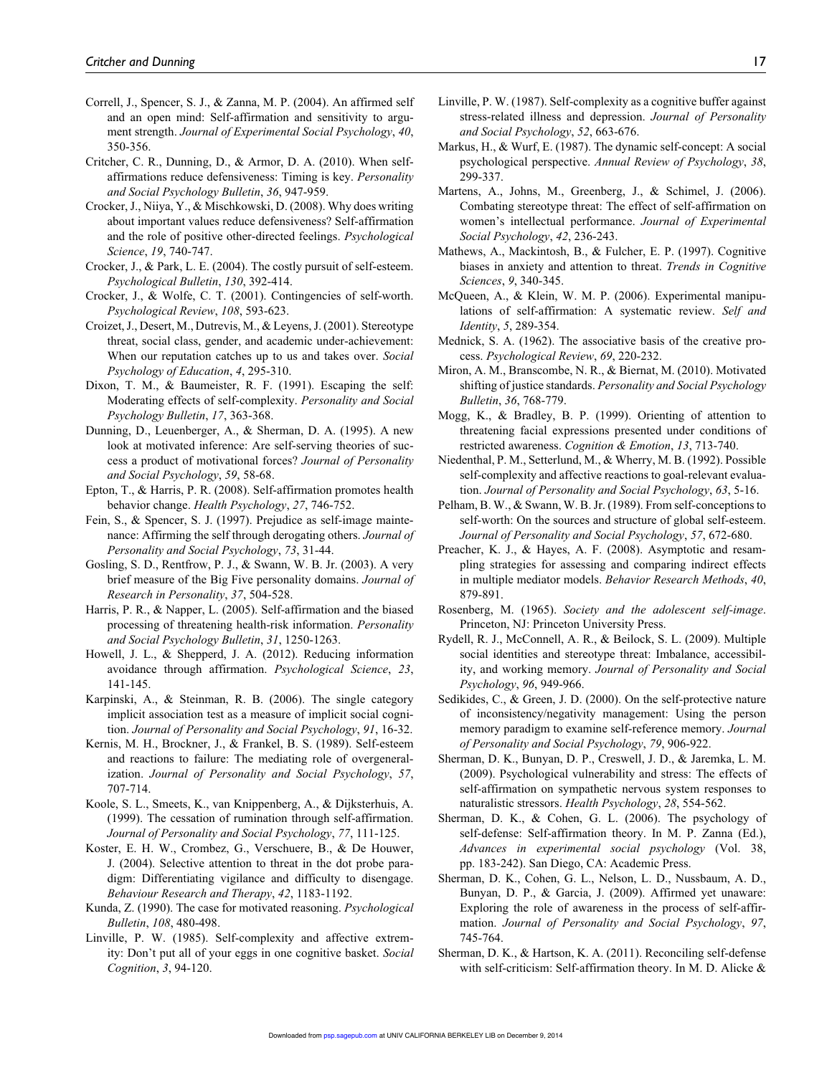- Correll, J., Spencer, S. J., & Zanna, M. P. (2004). An affirmed self and an open mind: Self-affirmation and sensitivity to argument strength. *Journal of Experimental Social Psychology*, *40*, 350-356.
- Critcher, C. R., Dunning, D., & Armor, D. A. (2010). When selfaffirmations reduce defensiveness: Timing is key. *Personality and Social Psychology Bulletin*, *36*, 947-959.
- Crocker, J., Niiya, Y., & Mischkowski, D. (2008). Why does writing about important values reduce defensiveness? Self-affirmation and the role of positive other-directed feelings. *Psychological Science*, *19*, 740-747.
- Crocker, J., & Park, L. E. (2004). The costly pursuit of self-esteem. *Psychological Bulletin*, *130*, 392-414.
- Crocker, J., & Wolfe, C. T. (2001). Contingencies of self-worth. *Psychological Review*, *108*, 593-623.
- Croizet, J., Desert, M., Dutrevis, M., & Leyens, J. (2001). Stereotype threat, social class, gender, and academic under-achievement: When our reputation catches up to us and takes over. *Social Psychology of Education*, *4*, 295-310.
- Dixon, T. M., & Baumeister, R. F. (1991). Escaping the self: Moderating effects of self-complexity. *Personality and Social Psychology Bulletin*, *17*, 363-368.
- Dunning, D., Leuenberger, A., & Sherman, D. A. (1995). A new look at motivated inference: Are self-serving theories of success a product of motivational forces? *Journal of Personality and Social Psychology*, *59*, 58-68.
- Epton, T., & Harris, P. R. (2008). Self-affirmation promotes health behavior change. *Health Psychology*, *27*, 746-752.
- Fein, S., & Spencer, S. J. (1997). Prejudice as self-image maintenance: Affirming the self through derogating others. *Journal of Personality and Social Psychology*, *73*, 31-44.
- Gosling, S. D., Rentfrow, P. J., & Swann, W. B. Jr. (2003). A very brief measure of the Big Five personality domains. *Journal of Research in Personality*, *37*, 504-528.
- Harris, P. R., & Napper, L. (2005). Self-affirmation and the biased processing of threatening health-risk information. *Personality and Social Psychology Bulletin*, *31*, 1250-1263.
- Howell, J. L., & Shepperd, J. A. (2012). Reducing information avoidance through affirmation. *Psychological Science*, *23*, 141-145.
- Karpinski, A., & Steinman, R. B. (2006). The single category implicit association test as a measure of implicit social cognition. *Journal of Personality and Social Psychology*, *91*, 16-32.
- Kernis, M. H., Brockner, J., & Frankel, B. S. (1989). Self-esteem and reactions to failure: The mediating role of overgeneralization. *Journal of Personality and Social Psychology*, *57*, 707-714.
- Koole, S. L., Smeets, K., van Knippenberg, A., & Dijksterhuis, A. (1999). The cessation of rumination through self-affirmation. *Journal of Personality and Social Psychology*, *77*, 111-125.
- Koster, E. H. W., Crombez, G., Verschuere, B., & De Houwer, J. (2004). Selective attention to threat in the dot probe paradigm: Differentiating vigilance and difficulty to disengage. *Behaviour Research and Therapy*, *42*, 1183-1192.
- Kunda, Z. (1990). The case for motivated reasoning. *Psychological Bulletin*, *108*, 480-498.
- Linville, P. W. (1985). Self-complexity and affective extremity: Don't put all of your eggs in one cognitive basket. *Social Cognition*, *3*, 94-120.
- Linville, P. W. (1987). Self-complexity as a cognitive buffer against stress-related illness and depression. *Journal of Personality and Social Psychology*, *52*, 663-676.
- Markus, H., & Wurf, E. (1987). The dynamic self-concept: A social psychological perspective. *Annual Review of Psychology*, *38*, 299-337.
- Martens, A., Johns, M., Greenberg, J., & Schimel, J. (2006). Combating stereotype threat: The effect of self-affirmation on women's intellectual performance. *Journal of Experimental Social Psychology*, *42*, 236-243.
- Mathews, A., Mackintosh, B., & Fulcher, E. P. (1997). Cognitive biases in anxiety and attention to threat. *Trends in Cognitive Sciences*, *9*, 340-345.
- McQueen, A., & Klein, W. M. P. (2006). Experimental manipulations of self-affirmation: A systematic review. *Self and Identity*, *5*, 289-354.
- Mednick, S. A. (1962). The associative basis of the creative process. *Psychological Review*, *69*, 220-232.
- Miron, A. M., Branscombe, N. R., & Biernat, M. (2010). Motivated shifting of justice standards. *Personality and Social Psychology Bulletin*, *36*, 768-779.
- Mogg, K., & Bradley, B. P. (1999). Orienting of attention to threatening facial expressions presented under conditions of restricted awareness. *Cognition & Emotion*, *13*, 713-740.
- Niedenthal, P. M., Setterlund, M., & Wherry, M. B. (1992). Possible self-complexity and affective reactions to goal-relevant evaluation. *Journal of Personality and Social Psychology*, *63*, 5-16.
- Pelham, B. W., & Swann, W. B. Jr. (1989). From self-conceptions to self-worth: On the sources and structure of global self-esteem. *Journal of Personality and Social Psychology*, *57*, 672-680.
- Preacher, K. J., & Hayes, A. F. (2008). Asymptotic and resampling strategies for assessing and comparing indirect effects in multiple mediator models. *Behavior Research Methods*, *40*, 879-891.
- Rosenberg, M. (1965). *Society and the adolescent self-image*. Princeton, NJ: Princeton University Press.
- Rydell, R. J., McConnell, A. R., & Beilock, S. L. (2009). Multiple social identities and stereotype threat: Imbalance, accessibility, and working memory. *Journal of Personality and Social Psychology*, *96*, 949-966.
- Sedikides, C., & Green, J. D. (2000). On the self-protective nature of inconsistency/negativity management: Using the person memory paradigm to examine self-reference memory. *Journal of Personality and Social Psychology*, *79*, 906-922.
- Sherman, D. K., Bunyan, D. P., Creswell, J. D., & Jaremka, L. M. (2009). Psychological vulnerability and stress: The effects of self-affirmation on sympathetic nervous system responses to naturalistic stressors. *Health Psychology*, *28*, 554-562.
- Sherman, D. K., & Cohen, G. L. (2006). The psychology of self-defense: Self-affirmation theory. In M. P. Zanna (Ed.), *Advances in experimental social psychology* (Vol. 38, pp. 183-242). San Diego, CA: Academic Press.
- Sherman, D. K., Cohen, G. L., Nelson, L. D., Nussbaum, A. D., Bunyan, D. P., & Garcia, J. (2009). Affirmed yet unaware: Exploring the role of awareness in the process of self-affirmation. *Journal of Personality and Social Psychology*, *97*, 745-764.
- Sherman, D. K., & Hartson, K. A. (2011). Reconciling self-defense with self-criticism: Self-affirmation theory. In M. D. Alicke &